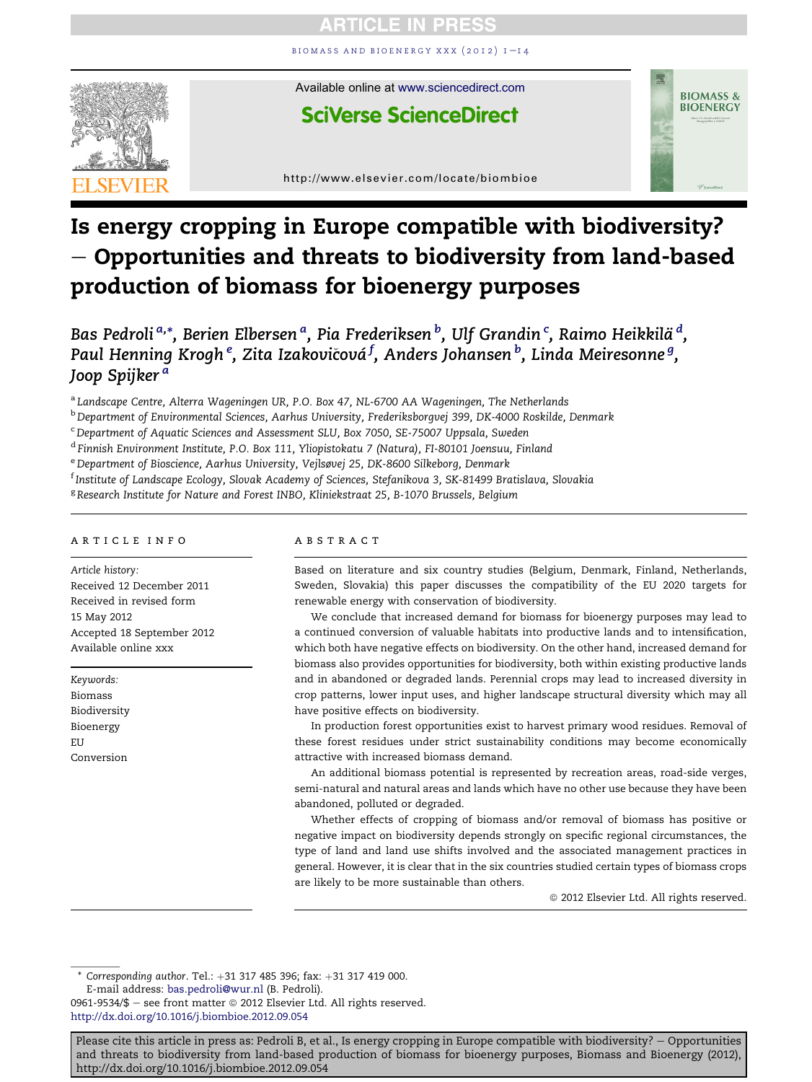$BIOMASS AND BIOENERGY XXX (2012) I-I4$ 



Available online at [www.sciencedirect.com](www.sciencedirect.com/science/journal/09619534)

### **SciVerse ScienceDirect**



<http://www.elsevier.com/locate/biombioe>

# Is energy cropping in Europe compatible with biodiversity?  $-$  Opportunities and threats to biodiversity from land-based production of biomass for bioenergy purposes

Bas Pedroli $^{\,a,\ast},$  Berien Elbersen $^{\,a}$ , Pia Frederiksen $^{\,b}$ , Ulf Grandin $^{\,c}$ , Raimo Heikkilä $^{\,d}$ , Paul Henning Krogh $\mathrm{^e}$ , Zita Izakovičová $^f$ , Anders Johansen $^b$ , Linda Meiresonne $^g$ , Joop Spijker<sup>a</sup>

<sup>a</sup> Landscape Centre, Alterra Wageningen UR, P.O. Box 47, NL-6700 AA Wageningen, The Netherlands

<sup>b</sup> Department of Environmental Sciences, Aarhus University, Frederiksborgvej 399, DK-4000 Roskilde, Denmark

<sup>c</sup> Department of Aquatic Sciences and Assessment SLU, Box 7050, SE-75007 Uppsala, Sweden

<sup>d</sup> Finnish Environment Institute, P.O. Box 111, Yliopistokatu 7 (Natura), FI-80101 Joensuu, Finland

<sup>e</sup> Department of Bioscience, Aarhus University, Vejlsøvej 25, DK-8600 Silkeborg, Denmark

<sup>f</sup> Institute of Landscape Ecology, Slovak Academy of Sciences, Stefanikova 3, SK-81499 Bratislava, Slovakia

<sup>g</sup> Research Institute for Nature and Forest INBO, Kliniekstraat 25, B-1070 Brussels, Belgium

### article info

Article history: Received 12 December 2011 Received in revised form 15 May 2012 Accepted 18 September 2012 Available online xxx

Keywords: Biomass Biodiversity Bioenergy **EU** Conversion

### **ABSTRACT**

Based on literature and six country studies (Belgium, Denmark, Finland, Netherlands, Sweden, Slovakia) this paper discusses the compatibility of the EU 2020 targets for renewable energy with conservation of biodiversity.

We conclude that increased demand for biomass for bioenergy purposes may lead to a continued conversion of valuable habitats into productive lands and to intensification, which both have negative effects on biodiversity. On the other hand, increased demand for biomass also provides opportunities for biodiversity, both within existing productive lands and in abandoned or degraded lands. Perennial crops may lead to increased diversity in crop patterns, lower input uses, and higher landscape structural diversity which may all have positive effects on biodiversity.

In production forest opportunities exist to harvest primary wood residues. Removal of these forest residues under strict sustainability conditions may become economically attractive with increased biomass demand.

An additional biomass potential is represented by recreation areas, road-side verges, semi-natural and natural areas and lands which have no other use because they have been abandoned, polluted or degraded.

Whether effects of cropping of biomass and/or removal of biomass has positive or negative impact on biodiversity depends strongly on specific regional circumstances, the type of land and land use shifts involved and the associated management practices in general. However, it is clear that in the six countries studied certain types of biomass crops are likely to be more sustainable than others.

<sup>©</sup> 2012 Elsevier Ltd. All rights reserved.

Corresponding author. Tel.: +31 317 485 396; fax: +31 317 419 000. E-mail address: [bas.pedroli@wur.nl](mailto:bas.pedroli@wur.nl) (B. Pedroli). 0961-9534/\$ - see front matter  $©$  2012 Elsevier Ltd. All rights reserved. <http://dx.doi.org/10.1016/j.biombioe.2012.09.054>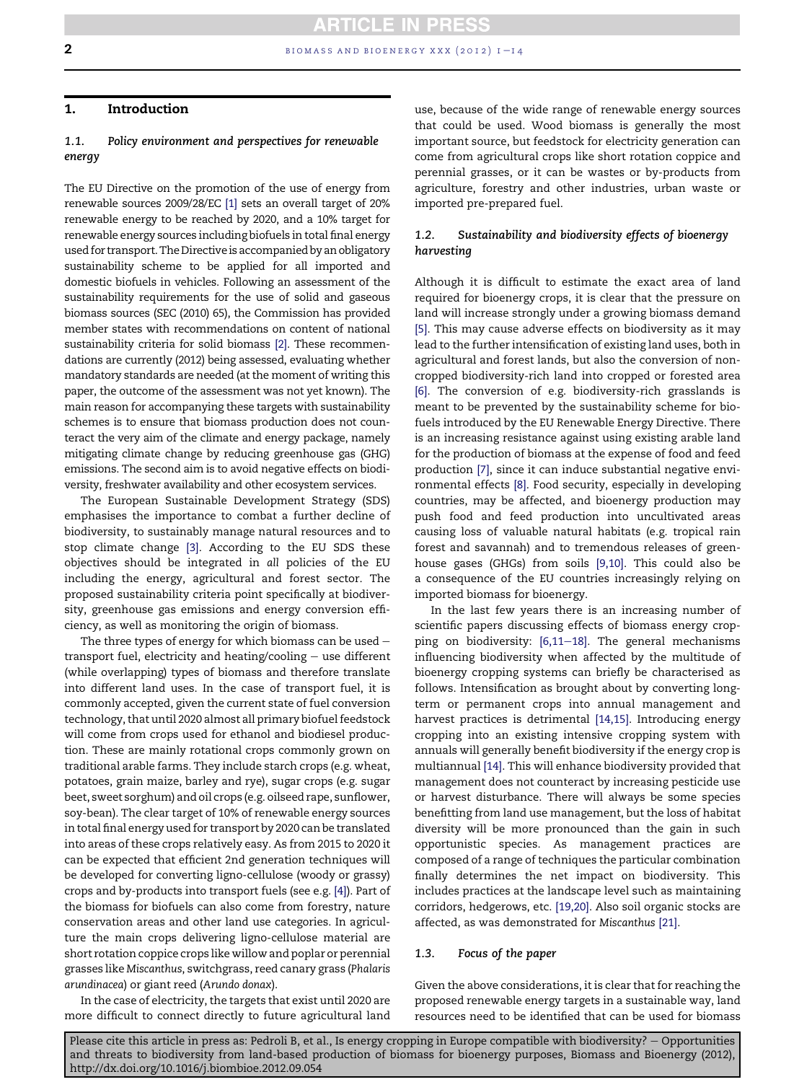### 1. Introduction

### 1.1. Policy environment and perspectives for renewable energy

The EU Directive on the promotion of the use of energy from renewable sources 2009/28/EC [\[1\]](#page-11-0) sets an overall target of 20% renewable energy to be reached by 2020, and a 10% target for renewable energy sources including biofuels in total final energy used for transport. The Directive is accompanied by an obligatory sustainability scheme to be applied for all imported and domestic biofuels in vehicles. Following an assessment of the sustainability requirements for the use of solid and gaseous biomass sources (SEC (2010) 65), the Commission has provided member states with recommendations on content of national sustainability criteria for solid biomass [\[2\].](#page-11-0) These recommendations are currently (2012) being assessed, evaluating whether mandatory standards are needed (at the moment of writing this paper, the outcome of the assessment was not yet known). The main reason for accompanying these targets with sustainability schemes is to ensure that biomass production does not counteract the very aim of the climate and energy package, namely mitigating climate change by reducing greenhouse gas (GHG) emissions. The second aim is to avoid negative effects on biodiversity, freshwater availability and other ecosystem services.

The European Sustainable Development Strategy (SDS) emphasises the importance to combat a further decline of biodiversity, to sustainably manage natural resources and to stop climate change [\[3\].](#page-12-0) According to the EU SDS these objectives should be integrated in all policies of the EU including the energy, agricultural and forest sector. The proposed sustainability criteria point specifically at biodiversity, greenhouse gas emissions and energy conversion efficiency, as well as monitoring the origin of biomass.

The three types of energy for which biomass can be used  $$ transport fuel, electricity and heating/cooling  $-$  use different (while overlapping) types of biomass and therefore translate into different land uses. In the case of transport fuel, it is commonly accepted, given the current state of fuel conversion technology, that until 2020 almost all primary biofuel feedstock will come from crops used for ethanol and biodiesel production. These are mainly rotational crops commonly grown on traditional arable farms. They include starch crops (e.g. wheat, potatoes, grain maize, barley and rye), sugar crops (e.g. sugar beet, sweet sorghum) and oil crops (e.g. oilseed rape, sunflower, soy-bean). The clear target of 10% of renewable energy sources in total final energy used for transport by 2020 can be translated into areas of these crops relatively easy. As from 2015 to 2020 it can be expected that efficient 2nd generation techniques will be developed for converting ligno-cellulose (woody or grassy) crops and by-products into transport fuels (see e.g. [\[4\]](#page-12-0)). Part of the biomass for biofuels can also come from forestry, nature conservation areas and other land use categories. In agriculture the main crops delivering ligno-cellulose material are short rotation coppice crops like willow and poplar or perennial grasses like Miscanthus, switchgrass, reed canary grass (Phalaris arundinacea) or giant reed (Arundo donax).

In the case of electricity, the targets that exist until 2020 are more difficult to connect directly to future agricultural land use, because of the wide range of renewable energy sources that could be used. Wood biomass is generally the most important source, but feedstock for electricity generation can come from agricultural crops like short rotation coppice and perennial grasses, or it can be wastes or by-products from agriculture, forestry and other industries, urban waste or imported pre-prepared fuel.

### 1.2. Sustainability and biodiversity effects of bioenergy harvesting

Although it is difficult to estimate the exact area of land required for bioenergy crops, it is clear that the pressure on land will increase strongly under a growing biomass demand [\[5\].](#page-12-0) This may cause adverse effects on biodiversity as it may lead to the further intensification of existing land uses, both in agricultural and forest lands, but also the conversion of noncropped biodiversity-rich land into cropped or forested area [\[6\].](#page-12-0) The conversion of e.g. biodiversity-rich grasslands is meant to be prevented by the sustainability scheme for biofuels introduced by the EU Renewable Energy Directive. There is an increasing resistance against using existing arable land for the production of biomass at the expense of food and feed production [\[7\]](#page-12-0), since it can induce substantial negative environmental effects [\[8\]](#page-12-0). Food security, especially in developing countries, may be affected, and bioenergy production may push food and feed production into uncultivated areas causing loss of valuable natural habitats (e.g. tropical rain forest and savannah) and to tremendous releases of greenhouse gases (GHGs) from soils [\[9,10\].](#page-12-0) This could also be a consequence of the EU countries increasingly relying on imported biomass for bioenergy.

In the last few years there is an increasing number of scientific papers discussing effects of biomass energy cropping on biodiversity:  $[6,11-18]$  $[6,11-18]$ . The general mechanisms influencing biodiversity when affected by the multitude of bioenergy cropping systems can briefly be characterised as follows. Intensification as brought about by converting longterm or permanent crops into annual management and harvest practices is detrimental [\[14,15\]](#page-12-0). Introducing energy cropping into an existing intensive cropping system with annuals will generally benefit biodiversity if the energy crop is multiannual [\[14\]](#page-12-0). This will enhance biodiversity provided that management does not counteract by increasing pesticide use or harvest disturbance. There will always be some species benefitting from land use management, but the loss of habitat diversity will be more pronounced than the gain in such opportunistic species. As management practices are composed of a range of techniques the particular combination finally determines the net impact on biodiversity. This includes practices at the landscape level such as maintaining corridors, hedgerows, etc. [\[19,20\]](#page-12-0). Also soil organic stocks are affected, as was demonstrated for Miscanthus [\[21\]](#page-12-0).

### 1.3. Focus of the paper

Given the above considerations, it is clear that for reaching the proposed renewable energy targets in a sustainable way, land resources need to be identified that can be used for biomass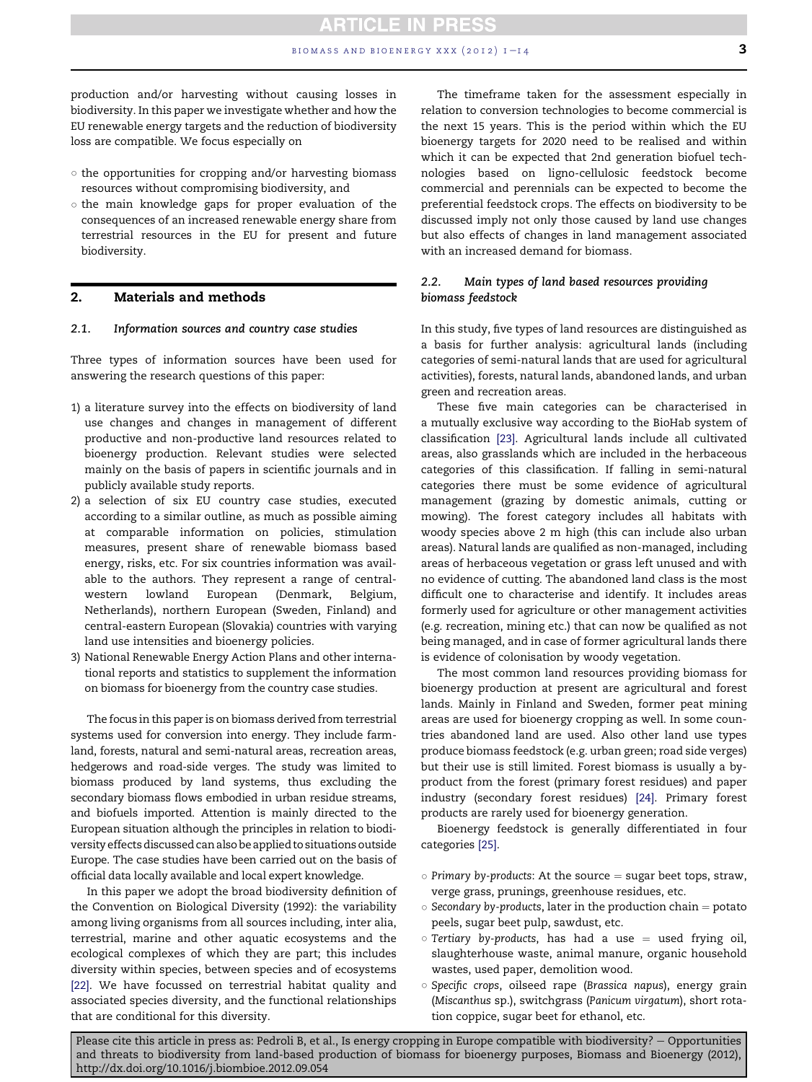production and/or harvesting without causing losses in biodiversity. In this paper we investigate whether and how the EU renewable energy targets and the reduction of biodiversity loss are compatible. We focus especially on

- $\circ$  the opportunities for cropping and/or harvesting biomass resources without compromising biodiversity, and
- $\circ$  the main knowledge gaps for proper evaluation of the consequences of an increased renewable energy share from terrestrial resources in the EU for present and future biodiversity.

### 2. Materials and methods

### 2.1. Information sources and country case studies

Three types of information sources have been used for answering the research questions of this paper:

- 1) a literature survey into the effects on biodiversity of land use changes and changes in management of different productive and non-productive land resources related to bioenergy production. Relevant studies were selected mainly on the basis of papers in scientific journals and in publicly available study reports.
- 2) a selection of six EU country case studies, executed according to a similar outline, as much as possible aiming at comparable information on policies, stimulation measures, present share of renewable biomass based energy, risks, etc. For six countries information was available to the authors. They represent a range of centralwestern lowland European (Denmark, Belgium, Netherlands), northern European (Sweden, Finland) and central-eastern European (Slovakia) countries with varying land use intensities and bioenergy policies.
- 3) National Renewable Energy Action Plans and other international reports and statistics to supplement the information on biomass for bioenergy from the country case studies.

The focus in this paper is on biomass derived from terrestrial systems used for conversion into energy. They include farmland, forests, natural and semi-natural areas, recreation areas, hedgerows and road-side verges. The study was limited to biomass produced by land systems, thus excluding the secondary biomass flows embodied in urban residue streams, and biofuels imported. Attention is mainly directed to the European situation although the principles in relation to biodiversity effects discussed can also be applied to situations outside Europe. The case studies have been carried out on the basis of official data locally available and local expert knowledge.

In this paper we adopt the broad biodiversity definition of the Convention on Biological Diversity (1992): the variability among living organisms from all sources including, inter alia, terrestrial, marine and other aquatic ecosystems and the ecological complexes of which they are part; this includes diversity within species, between species and of ecosystems [\[22\].](#page-12-0) We have focussed on terrestrial habitat quality and associated species diversity, and the functional relationships that are conditional for this diversity.

The timeframe taken for the assessment especially in relation to conversion technologies to become commercial is the next 15 years. This is the period within which the EU bioenergy targets for 2020 need to be realised and within which it can be expected that 2nd generation biofuel technologies based on ligno-cellulosic feedstock become commercial and perennials can be expected to become the preferential feedstock crops. The effects on biodiversity to be discussed imply not only those caused by land use changes but also effects of changes in land management associated with an increased demand for biomass.

### 2.2. Main types of land based resources providing biomass feedstock

In this study, five types of land resources are distinguished as a basis for further analysis: agricultural lands (including categories of semi-natural lands that are used for agricultural activities), forests, natural lands, abandoned lands, and urban green and recreation areas.

These five main categories can be characterised in a mutually exclusive way according to the BioHab system of classification [\[23\]](#page-12-0). Agricultural lands include all cultivated areas, also grasslands which are included in the herbaceous categories of this classification. If falling in semi-natural categories there must be some evidence of agricultural management (grazing by domestic animals, cutting or mowing). The forest category includes all habitats with woody species above 2 m high (this can include also urban areas). Natural lands are qualified as non-managed, including areas of herbaceous vegetation or grass left unused and with no evidence of cutting. The abandoned land class is the most difficult one to characterise and identify. It includes areas formerly used for agriculture or other management activities (e.g. recreation, mining etc.) that can now be qualified as not being managed, and in case of former agricultural lands there is evidence of colonisation by woody vegetation.

The most common land resources providing biomass for bioenergy production at present are agricultural and forest lands. Mainly in Finland and Sweden, former peat mining areas are used for bioenergy cropping as well. In some countries abandoned land are used. Also other land use types produce biomass feedstock (e.g. urban green; road side verges) but their use is still limited. Forest biomass is usually a byproduct from the forest (primary forest residues) and paper industry (secondary forest residues) [\[24\]](#page-12-0). Primary forest products are rarely used for bioenergy generation.

Bioenergy feedstock is generally differentiated in four categories [\[25\].](#page-12-0)

- $\circ$  Primary by-products: At the source  $=$  sugar beet tops, straw, verge grass, prunings, greenhouse residues, etc.
- $\circ$  Secondary by-products, later in the production chain  $=$  potato peels, sugar beet pulp, sawdust, etc.
- $\circ$  Tertiary by-products, has had a use = used frying oil, slaughterhouse waste, animal manure, organic household wastes, used paper, demolition wood.
- o Specific crops, oilseed rape (Brassica napus), energy grain (Miscanthus sp.), switchgrass (Panicum virgatum), short rotation coppice, sugar beet for ethanol, etc.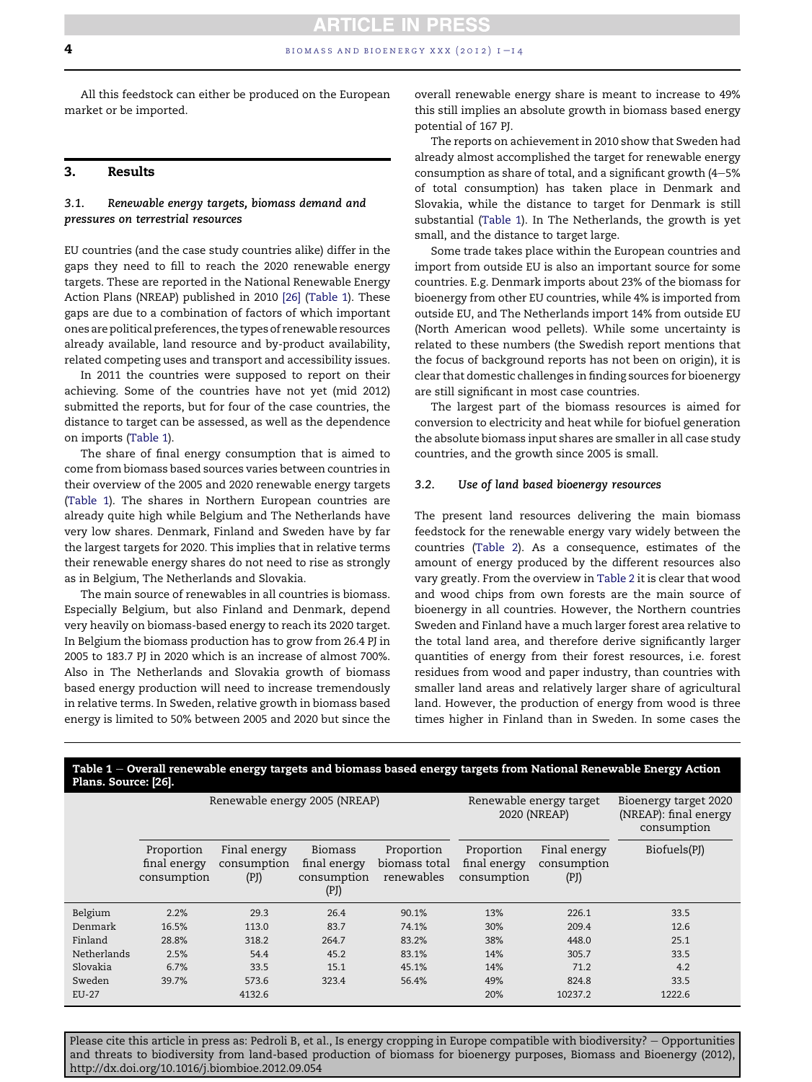# **ARTICLE IN PRESS**

### **4** biomass and bioenergy xxx (2012)  $1 - 14$

All this feedstock can either be produced on the European market or be imported.

### 3. Results

### 3.1. Renewable energy targets, biomass demand and pressures on terrestrial resources

EU countries (and the case study countries alike) differ in the gaps they need to fill to reach the 2020 renewable energy targets. These are reported in the National Renewable Energy Action Plans (NREAP) published in 2010 [\[26\]](#page-12-0) (Table 1). These gaps are due to a combination of factors of which important ones are political preferences, the types of renewable resources already available, land resource and by-product availability, related competing uses and transport and accessibility issues.

In 2011 the countries were supposed to report on their achieving. Some of the countries have not yet (mid 2012) submitted the reports, but for four of the case countries, the distance to target can be assessed, as well as the dependence on imports (Table 1).

The share of final energy consumption that is aimed to come from biomass based sources varies between countries in their overview of the 2005 and 2020 renewable energy targets (Table 1). The shares in Northern European countries are already quite high while Belgium and The Netherlands have very low shares. Denmark, Finland and Sweden have by far the largest targets for 2020. This implies that in relative terms their renewable energy shares do not need to rise as strongly as in Belgium, The Netherlands and Slovakia.

The main source of renewables in all countries is biomass. Especially Belgium, but also Finland and Denmark, depend very heavily on biomass-based energy to reach its 2020 target. In Belgium the biomass production has to grow from 26.4 PJ in 2005 to 183.7 PJ in 2020 which is an increase of almost 700%. Also in The Netherlands and Slovakia growth of biomass based energy production will need to increase tremendously in relative terms. In Sweden, relative growth in biomass based energy is limited to 50% between 2005 and 2020 but since the overall renewable energy share is meant to increase to 49% this still implies an absolute growth in biomass based energy potential of 167 PJ.

The reports on achievement in 2010 show that Sweden had already almost accomplished the target for renewable energy consumption as share of total, and a significant growth  $(4-5%$ of total consumption) has taken place in Denmark and Slovakia, while the distance to target for Denmark is still substantial (Table 1). In The Netherlands, the growth is yet small, and the distance to target large.

Some trade takes place within the European countries and import from outside EU is also an important source for some countries. E.g. Denmark imports about 23% of the biomass for bioenergy from other EU countries, while 4% is imported from outside EU, and The Netherlands import 14% from outside EU (North American wood pellets). While some uncertainty is related to these numbers (the Swedish report mentions that the focus of background reports has not been on origin), it is clear that domestic challenges in finding sources for bioenergy are still significant in most case countries.

The largest part of the biomass resources is aimed for conversion to electricity and heat while for biofuel generation the absolute biomass input shares are smaller in all case study countries, and the growth since 2005 is small.

### 3.2. Use of land based bioenergy resources

The present land resources delivering the main biomass feedstock for the renewable energy vary widely between the countries ([Table 2](#page-5-0)). As a consequence, estimates of the amount of energy produced by the different resources also vary greatly. From the overview in [Table 2](#page-5-0) it is clear that wood and wood chips from own forests are the main source of bioenergy in all countries. However, the Northern countries Sweden and Finland have a much larger forest area relative to the total land area, and therefore derive significantly larger quantities of energy from their forest resources, i.e. forest residues from wood and paper industry, than countries with smaller land areas and relatively larger share of agricultural land. However, the production of energy from wood is three times higher in Finland than in Sweden. In some cases the

| Table 1 – Overall renewable energy targets and biomass based energy targets from National Renewable Energy Action |  |
|-------------------------------------------------------------------------------------------------------------------|--|
| Plans. Source: [26].                                                                                              |  |

|             |                                           | Renewable energy 2005 (NREAP)       |                                                       |                                           |                                           | Renewable energy target<br>2020 (NREAP) | Bioenergy target 2020<br>(NREAP): final energy<br>consumption |
|-------------|-------------------------------------------|-------------------------------------|-------------------------------------------------------|-------------------------------------------|-------------------------------------------|-----------------------------------------|---------------------------------------------------------------|
|             | Proportion<br>final energy<br>consumption | Final energy<br>consumption<br>(PJ) | <b>Biomass</b><br>final energy<br>consumption<br>(PJ) | Proportion<br>biomass total<br>renewables | Proportion<br>final energy<br>consumption | Final energy<br>consumption<br>(PJ)     | Biofuels(PJ)                                                  |
| Belgium     | 2.2%                                      | 29.3                                | 26.4                                                  | 90.1%                                     | 13%                                       | 226.1                                   | 33.5                                                          |
| Denmark     | 16.5%                                     | 113.0                               | 83.7                                                  | 74.1%                                     | 30%                                       | 209.4                                   | 12.6                                                          |
| Finland     | 28.8%                                     | 318.2                               | 264.7                                                 | 83.2%                                     | 38%                                       | 448.0                                   | 25.1                                                          |
| Netherlands | 2.5%                                      | 54.4                                | 45.2                                                  | 83.1%                                     | 14%                                       | 305.7                                   | 33.5                                                          |
| Slovakia    | 6.7%                                      | 33.5                                | 15.1                                                  | 45.1%                                     | 14%                                       | 71.2                                    | 4.2                                                           |
| Sweden      | 39.7%                                     | 573.6                               | 323.4                                                 | 56.4%                                     | 49%                                       | 824.8                                   | 33.5                                                          |
| EU-27       |                                           | 4132.6                              |                                                       |                                           | 20%                                       | 10237.2                                 | 1222.6                                                        |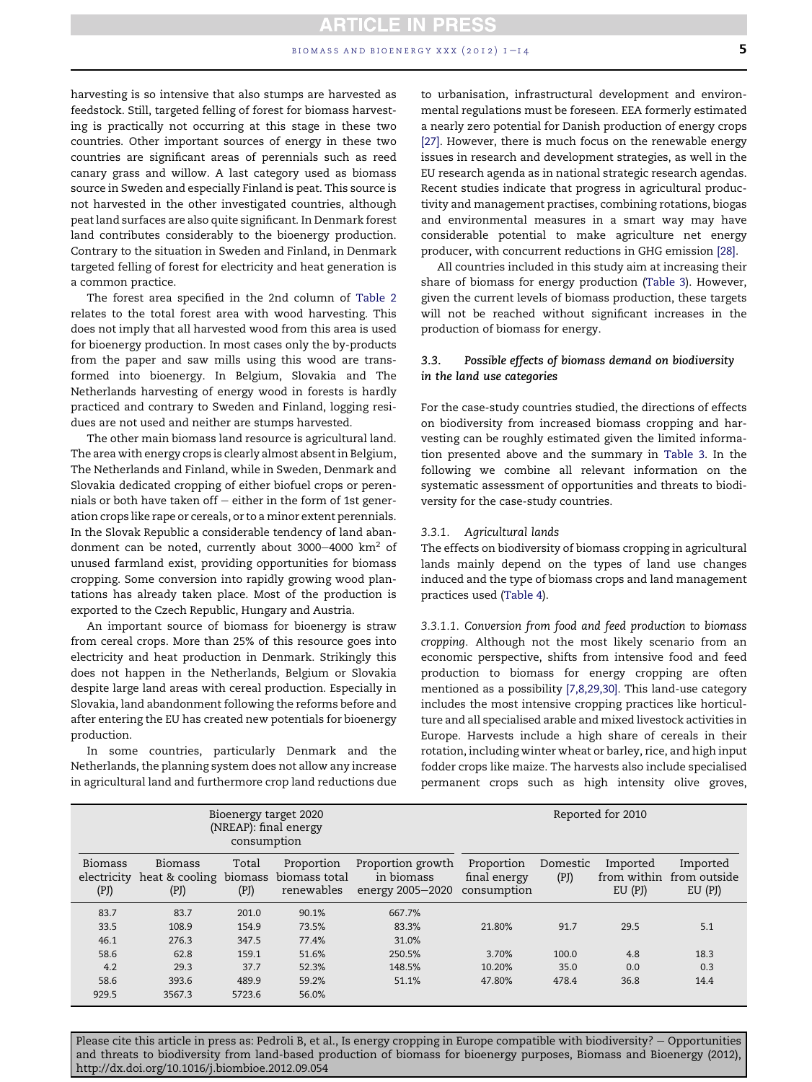## **ARTICLE IN PRESS**  $b$ iomass and bioenergy xxx (2012) 1 - 14 5

harvesting is so intensive that also stumps are harvested as feedstock. Still, targeted felling of forest for biomass harvesting is practically not occurring at this stage in these two countries. Other important sources of energy in these two countries are significant areas of perennials such as reed canary grass and willow. A last category used as biomass source in Sweden and especially Finland is peat. This source is not harvested in the other investigated countries, although peat land surfaces are also quite significant. In Denmark forest land contributes considerably to the bioenergy production. Contrary to the situation in Sweden and Finland, in Denmark targeted felling of forest for electricity and heat generation is a common practice.

The forest area specified in the 2nd column of [Table 2](#page-5-0) relates to the total forest area with wood harvesting. This does not imply that all harvested wood from this area is used for bioenergy production. In most cases only the by-products from the paper and saw mills using this wood are transformed into bioenergy. In Belgium, Slovakia and The Netherlands harvesting of energy wood in forests is hardly practiced and contrary to Sweden and Finland, logging residues are not used and neither are stumps harvested.

The other main biomass land resource is agricultural land. The area with energy crops is clearly almost absent in Belgium, The Netherlands and Finland, while in Sweden, Denmark and Slovakia dedicated cropping of either biofuel crops or perennials or both have taken off  $-$  either in the form of 1st generation crops like rape or cereals, or to a minor extent perennials. In the Slovak Republic a considerable tendency of land abandonment can be noted, currently about 3000-4000  $km^2$  of unused farmland exist, providing opportunities for biomass cropping. Some conversion into rapidly growing wood plantations has already taken place. Most of the production is exported to the Czech Republic, Hungary and Austria.

An important source of biomass for bioenergy is straw from cereal crops. More than 25% of this resource goes into electricity and heat production in Denmark. Strikingly this does not happen in the Netherlands, Belgium or Slovakia despite large land areas with cereal production. Especially in Slovakia, land abandonment following the reforms before and after entering the EU has created new potentials for bioenergy production.

In some countries, particularly Denmark and the Netherlands, the planning system does not allow any increase in agricultural land and furthermore crop land reductions due to urbanisation, infrastructural development and environmental regulations must be foreseen. EEA formerly estimated a nearly zero potential for Danish production of energy crops [\[27\].](#page-12-0) However, there is much focus on the renewable energy issues in research and development strategies, as well in the EU research agenda as in national strategic research agendas. Recent studies indicate that progress in agricultural productivity and management practises, combining rotations, biogas and environmental measures in a smart way may have considerable potential to make agriculture net energy producer, with concurrent reductions in GHG emission [\[28\].](#page-12-0)

All countries included in this study aim at increasing their share of biomass for energy production ([Table 3](#page-7-0)). However, given the current levels of biomass production, these targets will not be reached without significant increases in the production of biomass for energy.

### 3.3. Possible effects of biomass demand on biodiversity in the land use categories

For the case-study countries studied, the directions of effects on biodiversity from increased biomass cropping and harvesting can be roughly estimated given the limited information presented above and the summary in [Table 3](#page-7-0). In the following we combine all relevant information on the systematic assessment of opportunities and threats to biodiversity for the case-study countries.

### 3.3.1. Agricultural lands

The effects on biodiversity of biomass cropping in agricultural lands mainly depend on the types of land use changes induced and the type of biomass crops and land management practices used ([Table 4\)](#page-8-0).

3.3.1.1. Conversion from food and feed production to biomass cropping. Although not the most likely scenario from an economic perspective, shifts from intensive food and feed production to biomass for energy cropping are often mentioned as a possibility [\[7,8,29,30\]](#page-12-0). This land-use category includes the most intensive cropping practices like horticulture and all specialised arable and mixed livestock activities in Europe. Harvests include a high share of cereals in their rotation, including winter wheat or barley, rice, and high input fodder crops like maize. The harvests also include specialised permanent crops such as high intensity olive groves,

|                                       |                                   | (NREAP): final energy<br>consumption | Bioenergy target 2020                     |                                                     |                                           |                  | Reported for 2010  |                                                |
|---------------------------------------|-----------------------------------|--------------------------------------|-------------------------------------------|-----------------------------------------------------|-------------------------------------------|------------------|--------------------|------------------------------------------------|
| <b>Biomass</b><br>electricity<br>(PJ) | Biomass<br>heat & cooling<br>(PJ) | Total<br>biomass<br>(PJ)             | Proportion<br>biomass total<br>renewables | Proportion growth<br>in biomass<br>energy 2005-2020 | Proportion<br>final energy<br>consumption | Domestic<br>(PJ) | Imported<br>EU(PJ) | Imported<br>from within from outside<br>EU(PJ) |
| 83.7                                  | 83.7                              | 201.0                                | 90.1%                                     | 667.7%                                              |                                           |                  |                    |                                                |
| 33.5                                  | 108.9                             | 154.9                                | 73.5%                                     | 83.3%                                               | 21.80%                                    | 91.7             | 29.5               | 5.1                                            |
| 46.1                                  | 276.3                             | 347.5                                | 77.4%                                     | 31.0%                                               |                                           |                  |                    |                                                |
| 58.6                                  | 62.8                              | 159.1                                | 51.6%                                     | 250.5%                                              | 3.70%                                     | 100.0            | 4.8                | 18.3                                           |
| 4.2                                   | 29.3                              | 37.7                                 | 52.3%                                     | 148.5%                                              | 10.20%                                    | 35.0             | 0.0                | 0.3                                            |
| 58.6                                  | 393.6                             | 489.9                                | 59.2%                                     | 51.1%                                               | 47.80%                                    | 478.4            | 36.8               | 14.4                                           |
| 929.5                                 | 3567.3                            | 5723.6                               | 56.0%                                     |                                                     |                                           |                  |                    |                                                |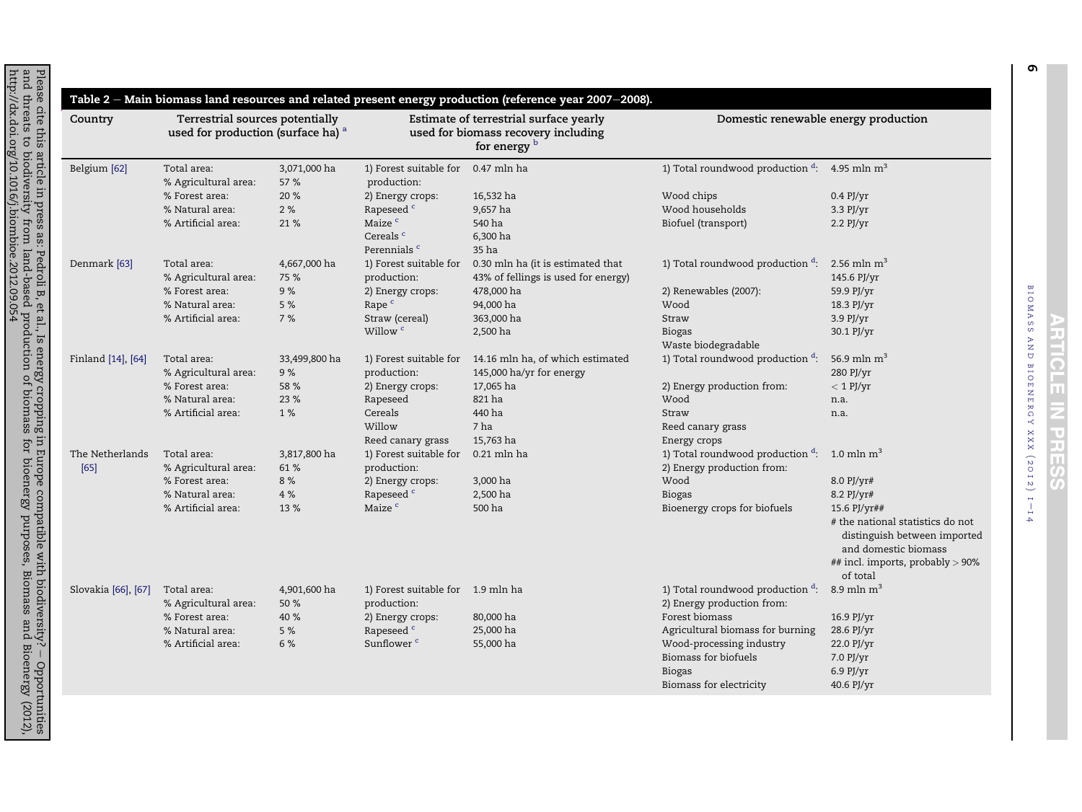<span id="page-5-0"></span>

| Country             | Terrestrial sources potentially<br>used for production (surface ha) a |                      |                                                   | Estimate of terrestrial surface yearly<br>used for biomass recovery including<br>for energy b | Domestic renewable energy production                                      |                                                                                          |
|---------------------|-----------------------------------------------------------------------|----------------------|---------------------------------------------------|-----------------------------------------------------------------------------------------------|---------------------------------------------------------------------------|------------------------------------------------------------------------------------------|
| Belgium [62]        | Total area:<br>% Agricultural area:                                   | 3,071,000 ha<br>57 % | 1) Forest suitable for 0.47 mln ha<br>production: |                                                                                               | 1) Total roundwood production <sup>d</sup> :                              | 4.95 mln $m3$                                                                            |
|                     | % Forest area:                                                        | 20 %                 | 2) Energy crops:                                  | 16,532 ha                                                                                     | Wood chips                                                                | $0.4$ PJ/yr                                                                              |
|                     | % Natural area:                                                       | 2%                   | Rapeseed <sup>c</sup>                             | 9,657 ha                                                                                      | Wood households                                                           | $3.3$ PJ/yr                                                                              |
|                     | % Artificial area:                                                    | 21 %                 | Maize <sup>c</sup>                                | 540 ha                                                                                        | Biofuel (transport)                                                       | $2.2$ PJ/yr                                                                              |
|                     |                                                                       |                      | Cereals <sup>c</sup><br>Perennials <sup>c</sup>   | 6,300 ha<br>35 ha                                                                             |                                                                           |                                                                                          |
| Denmark [63]        | Total area:                                                           | 4,667,000 ha         | 1) Forest suitable for                            | 0.30 mln ha (it is estimated that                                                             | 1) Total roundwood production $\frac{d}{dx}$ 2.56 mln m <sup>3</sup>      |                                                                                          |
|                     | % Agricultural area:                                                  | 75 %                 | production:                                       | 43% of fellings is used for energy)                                                           |                                                                           | 145.6 PJ/yr                                                                              |
|                     | % Forest area:                                                        | 9%                   | 2) Energy crops:                                  | 478,000 ha                                                                                    | 2) Renewables (2007):                                                     | 59.9 PJ/yr                                                                               |
|                     | % Natural area:                                                       | 5 %                  | Rape <sup>c</sup>                                 | 94,000 ha                                                                                     | Wood                                                                      | 18.3 PJ/yr                                                                               |
|                     | % Artificial area:                                                    | 7%                   | Straw (cereal)                                    | 363,000 ha                                                                                    | Straw                                                                     | $3.9$ PJ/yr                                                                              |
|                     |                                                                       |                      | Willow <sup>c</sup>                               | 2,500 ha                                                                                      | <b>Biogas</b>                                                             | 30.1 PJ/yr                                                                               |
|                     |                                                                       |                      |                                                   |                                                                                               | Waste biodegradable                                                       |                                                                                          |
| Finland [14], [64]  | Total area:                                                           | 33,499,800 ha        |                                                   | 1) Forest suitable for 14.16 mln ha, of which estimated                                       | 1) Total roundwood production $d$ :                                       | 56.9 mln $m3$                                                                            |
|                     | % Agricultural area:                                                  | 9%                   | production:                                       | 145,000 ha/yr for energy                                                                      |                                                                           | 280 PJ/yr                                                                                |
|                     | % Forest area:                                                        | 58 %                 | 2) Energy crops:                                  | 17,065 ha                                                                                     | 2) Energy production from:                                                | $<$ 1 PJ/yr                                                                              |
|                     | % Natural area:                                                       | 23 %                 | Rapeseed                                          | 821 ha                                                                                        | Wood                                                                      | n.a.                                                                                     |
|                     | % Artificial area:                                                    | 1 %                  | Cereals                                           | 440 ha                                                                                        | Straw                                                                     | n.a.                                                                                     |
|                     |                                                                       |                      | Willow                                            | 7 ha                                                                                          | Reed canary grass                                                         |                                                                                          |
|                     |                                                                       |                      | Reed canary grass                                 | 15,763 ha                                                                                     | Energy crops                                                              |                                                                                          |
| The Netherlands     | Total area:                                                           | 3,817,800 ha         | 1) Forest suitable for                            | 0.21 mln ha                                                                                   | 1) Total roundwood production $d$ :                                       | $1.0 \text{ m}$ ln m $^3$                                                                |
| [65]                | % Agricultural area:                                                  | 61 %                 | production:                                       |                                                                                               | 2) Energy production from:                                                |                                                                                          |
|                     | % Forest area:                                                        | 8%                   | 2) Energy crops:                                  | 3,000 ha                                                                                      | Wood                                                                      | 8.0 PJ/yr#                                                                               |
|                     | % Natural area:                                                       | 4 %                  | Rapeseed <sup>c</sup>                             | 2,500 ha                                                                                      | <b>Biogas</b>                                                             | 8.2 PJ/yr#                                                                               |
|                     | % Artificial area:                                                    | 13 %                 | Maize <sup>c</sup>                                | 500 ha                                                                                        | Bioenergy crops for biofuels                                              | 15.6 PJ/yr##                                                                             |
|                     |                                                                       |                      |                                                   |                                                                                               |                                                                           | # the national statistics do not<br>distinguish between imported<br>and domestic biomass |
|                     |                                                                       |                      |                                                   |                                                                                               |                                                                           | ## incl. imports, probably > 90%                                                         |
|                     |                                                                       |                      |                                                   |                                                                                               |                                                                           | of total                                                                                 |
| Slovakia [66], [67] | Total area:<br>% Agricultural area:                                   | 4,901,600 ha<br>50 % | 1) Forest suitable for 1.9 mln ha<br>production:  |                                                                                               | 1) Total roundwood production <sup>d.</sup><br>2) Energy production from: | 8.9 mln $m3$                                                                             |
|                     | % Forest area:                                                        | 40 %                 | 2) Energy crops:                                  | 80,000 ha                                                                                     | Forest biomass                                                            | 16.9 PJ/yr                                                                               |
|                     | % Natural area:                                                       | 5 %                  | Rapeseed <sup>c</sup>                             | 25,000 ha                                                                                     | Agricultural biomass for burning                                          | 28.6 PJ/yr                                                                               |
|                     | % Artificial area:                                                    | 6 %                  | Sunflower <sup>c</sup>                            | 55,000 ha                                                                                     | Wood-processing industry                                                  | 22.0 PJ/yr                                                                               |
|                     |                                                                       |                      |                                                   |                                                                                               | Biomass for biofuels                                                      | $7.0$ PJ/yr                                                                              |
|                     |                                                                       |                      |                                                   |                                                                                               | <b>Biogas</b>                                                             | 6.9 PJ/yr                                                                                |
|                     |                                                                       |                      |                                                   |                                                                                               | Biomass for electricity                                                   | 40.6 PJ/yr                                                                               |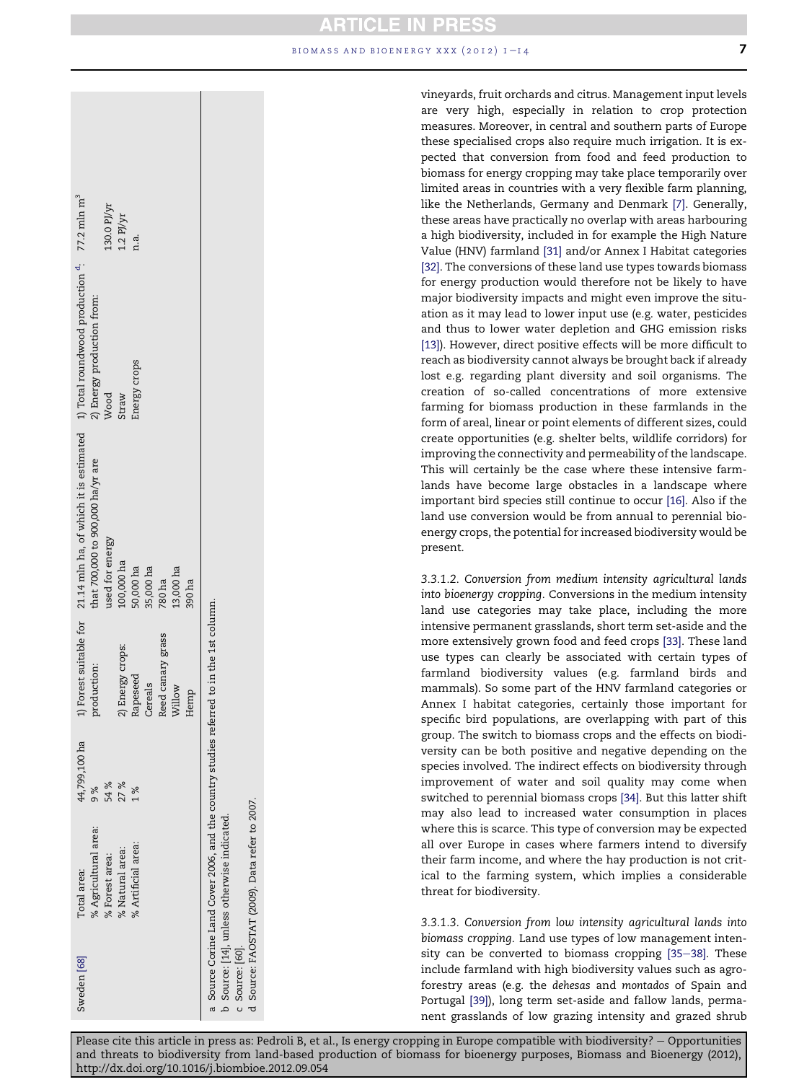### **ARTICLE IN PRESS**  $b$  biomass and bioenergy xxx (2012)  $1 - 14$   $7$

| 130.0 PJ/yr<br>$1.2$ PJ/yr<br>n.a.                                                                                                                                                                                                                   |                                                                                                                                                                                         |
|------------------------------------------------------------------------------------------------------------------------------------------------------------------------------------------------------------------------------------------------------|-----------------------------------------------------------------------------------------------------------------------------------------------------------------------------------------|
| 2) Energy production from:<br>Energy crops<br>Wood<br>Straw                                                                                                                                                                                          |                                                                                                                                                                                         |
| Forest suitable for $21.14$ mln ha, of which it is estimated $1)$ Total roundwood production $d$ : $77.2$ mln $m^3$<br>that 700,000 to 900,000 ha/yr are<br>used for energy<br>100,000 ha<br>50,000 ha<br>35,000 ha<br>13,000 ha<br>780 ha<br>390 ha |                                                                                                                                                                                         |
| Reed canary grass<br>Energy crops:<br>production:<br>Rapeseed<br>Cereals<br>Willow<br>Hemp                                                                                                                                                           |                                                                                                                                                                                         |
| 44,799,100 ha<br>54%<br>27 %<br>%<br>ರಿ<br>ें                                                                                                                                                                                                        |                                                                                                                                                                                         |
| % Agricultural area:<br>% Artificial area:<br>% Natural area:<br>% Forest area:<br>Total area:                                                                                                                                                       | a Source Corine Land Cover 2006, and the country studies referred to in the 1st column.<br>d Source: FAOSTAT (2009). Data refer to 2007.<br>b Source: [14], unless otherwise indicated. |
| Sweden [68]                                                                                                                                                                                                                                          | c Source: [60].                                                                                                                                                                         |

vineyards, fruit orchards and citrus. Management input levels are very high, especially in relation to crop protection measures. Moreover, in central and southern parts of Europe these specialised crops also require much irrigation. It is expected that conversion from food and feed production to biomass for energy cropping may take place temporarily over limited areas in countries with a very flexible farm planning, like the Netherlands, Germany and Denmark [\[7\].](#page-12-0) Generally, these areas have practically no overlap with areas harbouring a high biodiversity, included in for example the High Nature Value (HNV) farmland [\[31\]](#page-12-0) and/or Annex I Habitat categories [\[32\].](#page-12-0) The conversions of these land use types towards biomass for energy production would therefore not be likely to have major biodiversity impacts and might even improve the situation as it may lead to lower input use (e.g. water, pesticides and thus to lower water depletion and GHG emission risks [\[13\]\)](#page-12-0). However, direct positive effects will be more difficult to reach as biodiversity cannot always be brought back if already lost e.g. regarding plant diversity and soil organisms. The creation of so-called concentrations of more extensive farming for biomass production in these farmlands in the form of areal, linear or point elements of different sizes, could create opportunities (e.g. shelter belts, wildlife corridors) for improving the connectivity and permeability of the landscape. This will certainly be the case where these intensive farmlands have become large obstacles in a landscape where important bird species still continue to occur [\[16\].](#page-12-0) Also if the land use conversion would be from annual to perennial bioenergy crops, the potential for increased biodiversity would be present.

3.3.1.2. Conversion from medium intensity agricultural lands into bioenergy cropping. Conversions in the medium intensity land use categories may take place, including the more intensive permanent grasslands, short term set-aside and the more extensively grown food and feed crops [\[33\]](#page-12-0). These land use types can clearly be associated with certain types of farmland biodiversity values (e.g. farmland birds and mammals). So some part of the HNV farmland categories or Annex I habitat categories, certainly those important for specific bird populations, are overlapping with part of this group. The switch to biomass crops and the effects on biodiversity can be both positive and negative depending on the species involved. The indirect effects on biodiversity through improvement of water and soil quality may come when switched to perennial biomass crops [\[34\]](#page-12-0). But this latter shift may also lead to increased water consumption in places where this is scarce. This type of conversion may be expected all over Europe in cases where farmers intend to diversify their farm income, and where the hay production is not critical to the farming system, which implies a considerable threat for biodiversity.

3.3.1.3. Conversion from low intensity agricultural lands into biomass cropping. Land use types of low management intensity can be converted to biomass cropping  $[35-38]$  $[35-38]$  $[35-38]$ . These include farmland with high biodiversity values such as agroforestry areas (e.g. the dehesas and montados of Spain and Portugal [\[39\]](#page-12-0)), long term set-aside and fallow lands, permanent grasslands of low grazing intensity and grazed shrub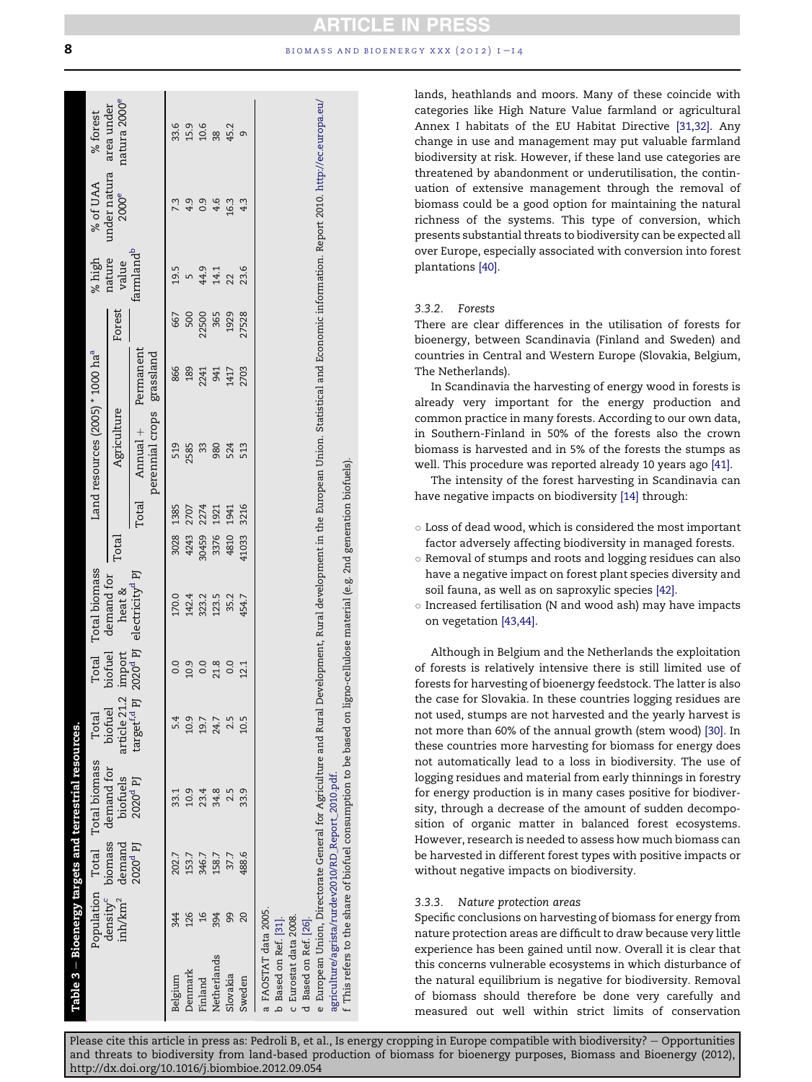| Table 3 $-$ Bioenergy targets and terrestrial resources.                                        |                            |                      |                                                                                                                                                                                                                                                                                                                                                                                  |                                |      |                                                                           |               |                                              |           |        |                       |                                |                                        |
|-------------------------------------------------------------------------------------------------|----------------------------|----------------------|----------------------------------------------------------------------------------------------------------------------------------------------------------------------------------------------------------------------------------------------------------------------------------------------------------------------------------------------------------------------------------|--------------------------------|------|---------------------------------------------------------------------------|---------------|----------------------------------------------|-----------|--------|-----------------------|--------------------------------|----------------------------------------|
|                                                                                                 |                            |                      | Population Total Total biomass                                                                                                                                                                                                                                                                                                                                                   | Total                          |      | Total Total biomass                                                       |               | Land resources (2005) * 1000 ha <sup>a</sup> |           |        | % high                | % of UAA                       | % forest                               |
|                                                                                                 | inh/km <sup>2</sup> demand |                      | density <sup>c</sup> biomass demand for<br>biofuels                                                                                                                                                                                                                                                                                                                              | article 21.2 import<br>biofuel |      | biofuel demand for<br>heat &                                              | Total         | Agriculture                                  |           | Forest | nature<br>value       | under natura<br>$2000^{\circ}$ | natura 2000 <sup>e</sup><br>area under |
|                                                                                                 |                            | 2020 <sup>d</sup> PJ | 2020 <sup>d</sup> PJ                                                                                                                                                                                                                                                                                                                                                             |                                |      | target <sup>t,d</sup> PJ 2020 <sup>d</sup> PJ electricity <sup>d</sup> PJ | Total         | perennial crops grassland<br>Annual $+$      | Permanent |        | farmland <sup>b</sup> |                                |                                        |
| Belgium                                                                                         | 344                        | 202.7                | 33.1                                                                                                                                                                                                                                                                                                                                                                             | 5.4                            | 0.0  | 170.0                                                                     | 3028 1385     | 519                                          | 866       | 667    | 19.5                  |                                | 33.6                                   |
| Denmark                                                                                         | 126                        | 153.7                | 10.9                                                                                                                                                                                                                                                                                                                                                                             | 10.9                           | 10.9 | 142.4                                                                     | 2707<br>4243  | 2585                                         | 189       | 500    |                       | 4.9                            | 15.9                                   |
| Finland                                                                                         | $\frac{6}{5}$              | 346.7                | 23.4                                                                                                                                                                                                                                                                                                                                                                             | 19.7                           | 0.0  | 323.2                                                                     | 2274<br>30459 | 33                                           | 2241      | 22500  | 44.9                  | 0.9                            | 10.6                                   |
| Netherlands                                                                                     | 394                        | 158.7                | 34.8                                                                                                                                                                                                                                                                                                                                                                             | 24.7                           | 21.8 | 123.5                                                                     | 1921<br>3376  | 980                                          | 941       | 365    | 14.1                  | 4.6                            | 38                                     |
| Slovakia                                                                                        | 99                         | 37.7                 | 2.5                                                                                                                                                                                                                                                                                                                                                                              | 2.5                            | 0.0  | 35.2                                                                      | 1941<br>4810  | 524                                          | 1417      | 1929   | 22                    | 16.3                           | 45.2                                   |
| Sweden                                                                                          |                            | 488.6                | 33.9                                                                                                                                                                                                                                                                                                                                                                             | 10.5                           | 12.1 | 454.7                                                                     | 3216<br>41033 | 513                                          | 2703      | 27528  | 23.6                  |                                | $\sigma$                               |
| a FAOSTAT data 2005.<br>c Eurostat data 2008.<br>d Based on Ref. [26].<br>b Based on Ref. [31]. |                            |                      | e European Union, Directorate General for Agriculture and Rural Development, Rural development in the European Union. Statistical and Economic information. Report 2010. http://ec.europa.eu/<br>f This refers to the share of biofuel consumption to be based on ligno-cellulose material (e.g. 2nd generation biofuels).<br>agriculture/agrista/rurdev2010/RD_Report_2010.pdf. |                                |      |                                                                           |               |                                              |           |        |                       |                                |                                        |

lands, heathlands and moors. Many of these coincide with categories like High Nature Value farmland or agricultural Annex I habitats of the EU Habitat Directive [\[31,32\].](#page-12-0) Any change in use and management may put valuable farmland biodiversity at risk. However, if these land use categories are threatened by abandonment or underutilisation, the continuation of extensive management through the removal of biomass could be a good option for maintaining the natural richness of the systems. This type of conversion, which presents substantial threats to biodiversity can be expected all over Europe, especially associated with conversion into forest plantations [\[40\].](#page-12-0)

### 3.3.2. Forests

There are clear differences in the utilisation of forests for bioenergy, between Scandinavia (Finland and Sweden) and countries in Central and Western Europe (Slovakia, Belgium, The Netherlands).

In Scandinavia the harvesting of energy wood in forests is already very important for the energy production and common practice in many forests. According to our own data, in Southern-Finland in 50% of the forests also the crown biomass is harvested and in 5% of the forests the stumps as well. This procedure was reported already 10 years ago [\[41\].](#page-13-0)

The intensity of the forest harvesting in Scandinavia can have negative impacts on biodiversity [\[14\]](#page-12-0) through:

 $\circ$  Loss of dead wood, which is considered the most important factor adversely affecting biodiversity in managed forests.

 $\circ$  Removal of stumps and roots and logging residues can also have a negative impact on forest plant species diversity and soil fauna, as well as on saproxylic species [\[42\]](#page-13-0).

 $\circ$  Increased fertilisation (N and wood ash) may have impacts on vegetation [\[43,44\].](#page-13-0)

Although in Belgium and the Netherlands the exploitation of forests is relatively intensive there is still limited use of forests for harvesting of bioenergy feedstock. The latter is also the case for Slovakia. In these countries logging residues are not used, stumps are not harvested and the yearly harvest is not more than 60% of the annual growth (stem wood) [\[30\].](#page-12-0) In these countries more harvesting for biomass for energy does not automatically lead to a loss in biodiversity. The use of logging residues and material from early thinnings in forestry for energy production is in many cases positive for biodiversity, through a decrease of the amount of sudden decomposition of organic matter in balanced forest ecosystems. However, research is needed to assess how much biomass can be harvested in different forest types with positive impacts or without negative impacts on biodiversity.

### 3.3.3. Nature protection areas

Specific conclusions on harvesting of biomass for energy from nature protection areas are difficult to draw because very little experience has been gained until now. Overall it is clear that this concerns vulnerable ecosystems in which disturbance of the natural equilibrium is negative for biodiversity. Removal of biomass should therefore be done very carefully and measured out well within strict limits of conservation

<span id="page-7-0"></span>8 **[biomass and bioenergy xxx \(2012\) 1](http://dx.doi.org/10.1016/j.biombioe.2012.09.054) -14**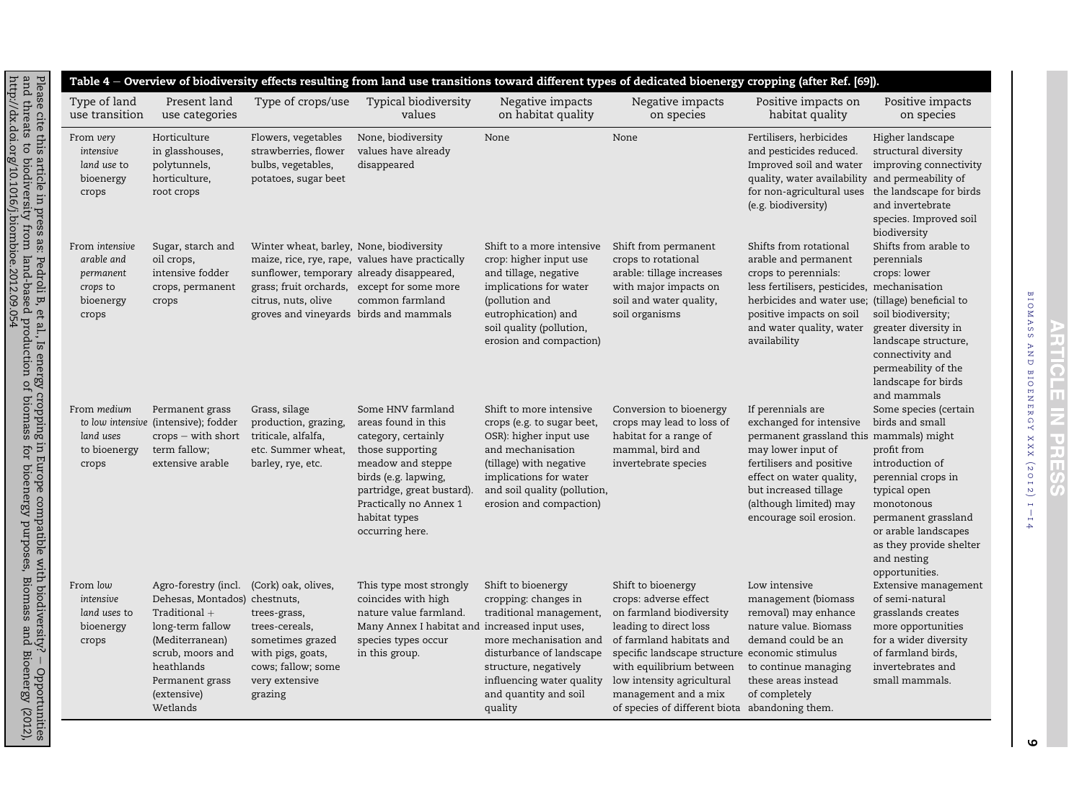<span id="page-8-0"></span>

| Type of land<br>use transition                                              | Present land<br>use categories                                                                                                                                                                         | Type of crops/use                                                                                                                                      | Typical biodiversity<br>values                                                                                                                                                                                               | Negative impacts<br>on habitat quality                                                                                                                                                                                | Negative impacts<br>on species                                                                                                                                                                                                                                                                                      | Positive impacts on<br>habitat quality                                                                                                                                                                                                              | Positive impacts<br>on species                                                                                                                                                                                                            |
|-----------------------------------------------------------------------------|--------------------------------------------------------------------------------------------------------------------------------------------------------------------------------------------------------|--------------------------------------------------------------------------------------------------------------------------------------------------------|------------------------------------------------------------------------------------------------------------------------------------------------------------------------------------------------------------------------------|-----------------------------------------------------------------------------------------------------------------------------------------------------------------------------------------------------------------------|---------------------------------------------------------------------------------------------------------------------------------------------------------------------------------------------------------------------------------------------------------------------------------------------------------------------|-----------------------------------------------------------------------------------------------------------------------------------------------------------------------------------------------------------------------------------------------------|-------------------------------------------------------------------------------------------------------------------------------------------------------------------------------------------------------------------------------------------|
| From very<br>intensive<br>land use to<br>bioenergy<br>crops                 | Horticulture<br>in glasshouses,<br>polytunnels,<br>horticulture,<br>root crops                                                                                                                         | Flowers, vegetables<br>strawberries, flower<br>bulbs, vegetables,<br>potatoes, sugar beet                                                              | None, biodiversity<br>values have already<br>disappeared                                                                                                                                                                     | None                                                                                                                                                                                                                  | None                                                                                                                                                                                                                                                                                                                | Fertilisers, herbicides<br>and pesticides reduced.<br>Improved soil and water<br>quality, water availability and permeability of<br>for non-agricultural uses the landscape for birds<br>(e.g. biodiversity)                                        | Higher landscape<br>structural diversity<br>improving connectivity<br>and invertebrate<br>species. Improved soil<br>biodiversity                                                                                                          |
| From intensive<br>arable and<br>permanent<br>crops to<br>bioenergy<br>crops | Sugar, starch and<br>oil crops,<br>intensive fodder<br>crops, permanent<br>crops                                                                                                                       | Winter wheat, barley, None, biodiversity<br>sunflower, temporary already disappeared,<br>citrus, nuts, olive<br>groves and vineyards birds and mammals | maize, rice, rye, rape, values have practically<br>grass; fruit orchards, except for some more<br>common farmland                                                                                                            | Shift to a more intensive<br>crop: higher input use<br>and tillage, negative<br>implications for water<br>(pollution and<br>eutrophication) and<br>soil quality (pollution,<br>erosion and compaction)                | Shift from permanent<br>crops to rotational<br>arable: tillage increases<br>with major impacts on<br>soil and water quality,<br>soil organisms                                                                                                                                                                      | Shifts from rotational<br>arable and permanent<br>crops to perennials:<br>less fertilisers, pesticides, mechanisation<br>herbicides and water use; (tillage) beneficial to<br>positive impacts on soil<br>and water quality, water<br>availability  | Shifts from arable to<br>perennials<br>crops: lower<br>soil biodiversity;<br>greater diversity in<br>landscape structure,<br>connectivity and<br>permeability of the<br>landscape for birds<br>and mammals                                |
| From medium<br>land uses<br>to bioenergy<br>crops                           | Permanent grass<br>to low intensive (intensive); fodder<br>$crops - with short$<br>term fallow;<br>extensive arable                                                                                    | Grass, silage<br>production, grazing,<br>triticale, alfalfa,<br>etc. Summer wheat,<br>barley, rye, etc.                                                | Some HNV farmland<br>areas found in this<br>category, certainly<br>those supporting<br>meadow and steppe<br>birds (e.g. lapwing,<br>partridge, great bustard).<br>Practically no Annex 1<br>habitat types<br>occurring here. | Shift to more intensive<br>crops (e.g. to sugar beet,<br>OSR): higher input use<br>and mechanisation<br>(tillage) with negative<br>implications for water<br>and soil quality (pollution,<br>erosion and compaction)  | Conversion to bioenergy<br>crops may lead to loss of<br>habitat for a range of<br>mammal, bird and<br>invertebrate species                                                                                                                                                                                          | If perennials are<br>exchanged for intensive<br>permanent grassland this mammals) might<br>may lower input of<br>fertilisers and positive<br>effect on water quality,<br>but increased tillage<br>(although limited) may<br>encourage soil erosion. | Some species (certain<br>birds and small<br>profit from<br>introduction of<br>perennial crops in<br>typical open<br>monotonous<br>permanent grassland<br>or arable landscapes<br>as they provide shelter<br>and nesting<br>opportunities. |
| From low<br>intensive<br>land uses to<br>bioenergy<br>crops                 | Agro-forestry (incl.<br>Dehesas, Montados) chestnuts,<br>$\text{Traditional} +$<br>long-term fallow<br>(Mediterranean)<br>scrub, moors and<br>heathlands<br>Permanent grass<br>(extensive)<br>Wetlands | (Cork) oak, olives,<br>trees-grass,<br>trees-cereals,<br>sometimes grazed<br>with pigs, goats,<br>cows; fallow; some<br>very extensive<br>grazing      | This type most strongly<br>coincides with high<br>nature value farmland.<br>Many Annex I habitat and increased input uses,<br>species types occur<br>in this group.                                                          | Shift to bioenergy<br>cropping: changes in<br>traditional management,<br>more mechanisation and<br>disturbance of landscape<br>structure, negatively<br>influencing water quality<br>and quantity and soil<br>quality | Shift to bioenergy<br>crops: adverse effect<br>on farmland biodiversity<br>leading to direct loss<br>of farmland habitats and<br>specific landscape structure economic stimulus<br>with equilibrium between<br>low intensity agricultural<br>management and a mix<br>of species of different biota abandoning them. | Low intensive<br>management (biomass<br>removal) may enhance<br>nature value. Biomass<br>demand could be an<br>to continue managing<br>these areas instead<br>of completely                                                                         | Extensive management<br>of semi-natural<br>grasslands creates<br>more opportunities<br>for a wider diversity<br>of farmland birds,<br>invertebrates and<br>small mammals.                                                                 |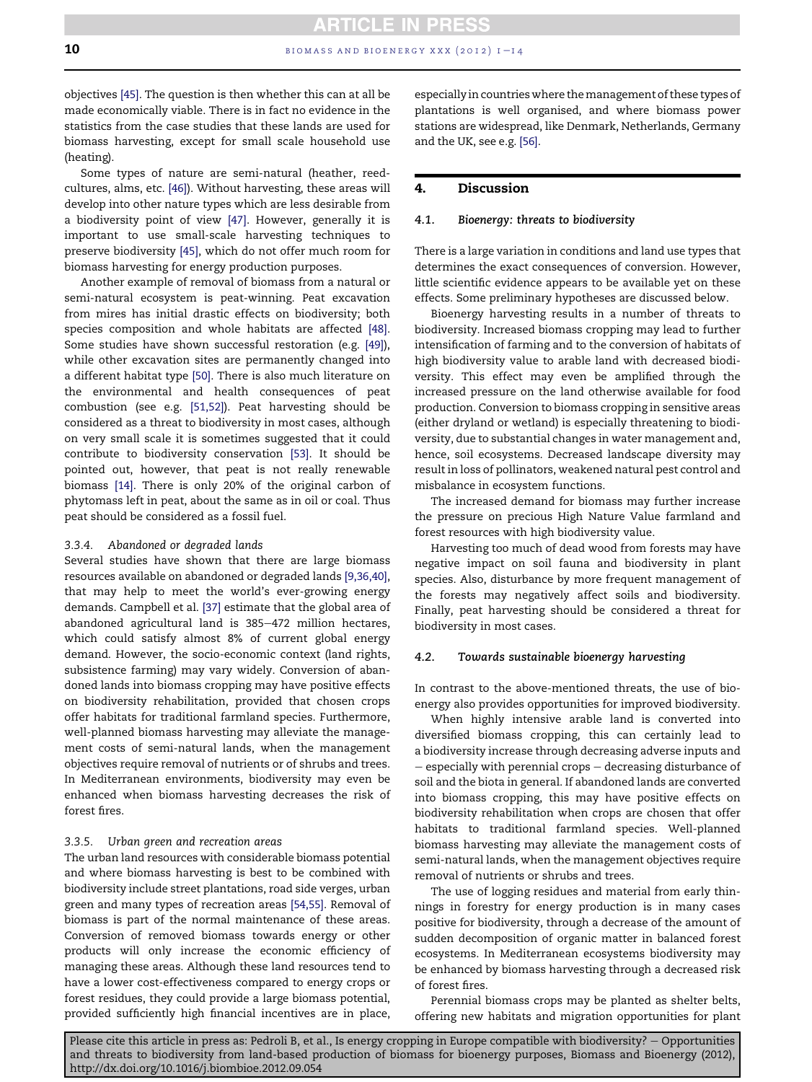objectives [\[45\].](#page-13-0) The question is then whether this can at all be made economically viable. There is in fact no evidence in the statistics from the case studies that these lands are used for biomass harvesting, except for small scale household use (heating).

Some types of nature are semi-natural (heather, reedcultures, alms, etc. [\[46\]](#page-13-0)). Without harvesting, these areas will develop into other nature types which are less desirable from a biodiversity point of view [\[47\].](#page-13-0) However, generally it is important to use small-scale harvesting techniques to preserve biodiversity [\[45\],](#page-13-0) which do not offer much room for biomass harvesting for energy production purposes.

Another example of removal of biomass from a natural or semi-natural ecosystem is peat-winning. Peat excavation from mires has initial drastic effects on biodiversity; both species composition and whole habitats are affected [\[48\]](#page-13-0). Some studies have shown successful restoration (e.g. [\[49\]\)](#page-13-0), while other excavation sites are permanently changed into a different habitat type [\[50\].](#page-13-0) There is also much literature on the environmental and health consequences of peat combustion (see e.g. [\[51,52\]](#page-13-0)). Peat harvesting should be considered as a threat to biodiversity in most cases, although on very small scale it is sometimes suggested that it could contribute to biodiversity conservation [\[53\].](#page-13-0) It should be pointed out, however, that peat is not really renewable biomass [\[14\].](#page-12-0) There is only 20% of the original carbon of phytomass left in peat, about the same as in oil or coal. Thus peat should be considered as a fossil fuel.

### 3.3.4. Abandoned or degraded lands

Several studies have shown that there are large biomass resources available on abandoned or degraded lands [\[9,36,40\]](#page-12-0), that may help to meet the world's ever-growing energy demands. Campbell et al. [\[37\]](#page-12-0) estimate that the global area of abandoned agricultural land is 385-472 million hectares, which could satisfy almost 8% of current global energy demand. However, the socio-economic context (land rights, subsistence farming) may vary widely. Conversion of abandoned lands into biomass cropping may have positive effects on biodiversity rehabilitation, provided that chosen crops offer habitats for traditional farmland species. Furthermore, well-planned biomass harvesting may alleviate the management costs of semi-natural lands, when the management objectives require removal of nutrients or of shrubs and trees. In Mediterranean environments, biodiversity may even be enhanced when biomass harvesting decreases the risk of forest fires.

### 3.3.5. Urban green and recreation areas

The urban land resources with considerable biomass potential and where biomass harvesting is best to be combined with biodiversity include street plantations, road side verges, urban green and many types of recreation areas [\[54,55\].](#page-13-0) Removal of biomass is part of the normal maintenance of these areas. Conversion of removed biomass towards energy or other products will only increase the economic efficiency of managing these areas. Although these land resources tend to have a lower cost-effectiveness compared to energy crops or forest residues, they could provide a large biomass potential, provided sufficiently high financial incentives are in place,

especially in countries where themanagement of these types of plantations is well organised, and where biomass power stations are widespread, like Denmark, Netherlands, Germany and the UK, see e.g. [\[56\].](#page-13-0)

### 4. Discussion

### 4.1. Bioenergy: threats to biodiversity

There is a large variation in conditions and land use types that determines the exact consequences of conversion. However, little scientific evidence appears to be available yet on these effects. Some preliminary hypotheses are discussed below.

Bioenergy harvesting results in a number of threats to biodiversity. Increased biomass cropping may lead to further intensification of farming and to the conversion of habitats of high biodiversity value to arable land with decreased biodiversity. This effect may even be amplified through the increased pressure on the land otherwise available for food production. Conversion to biomass cropping in sensitive areas (either dryland or wetland) is especially threatening to biodiversity, due to substantial changes in water management and, hence, soil ecosystems. Decreased landscape diversity may result in loss of pollinators, weakened natural pest control and misbalance in ecosystem functions.

The increased demand for biomass may further increase the pressure on precious High Nature Value farmland and forest resources with high biodiversity value.

Harvesting too much of dead wood from forests may have negative impact on soil fauna and biodiversity in plant species. Also, disturbance by more frequent management of the forests may negatively affect soils and biodiversity. Finally, peat harvesting should be considered a threat for biodiversity in most cases.

### 4.2. Towards sustainable bioenergy harvesting

In contrast to the above-mentioned threats, the use of bioenergy also provides opportunities for improved biodiversity.

When highly intensive arable land is converted into diversified biomass cropping, this can certainly lead to a biodiversity increase through decreasing adverse inputs and  $-$  especially with perennial crops  $-$  decreasing disturbance of soil and the biota in general. If abandoned lands are converted into biomass cropping, this may have positive effects on biodiversity rehabilitation when crops are chosen that offer habitats to traditional farmland species. Well-planned biomass harvesting may alleviate the management costs of semi-natural lands, when the management objectives require removal of nutrients or shrubs and trees.

The use of logging residues and material from early thinnings in forestry for energy production is in many cases positive for biodiversity, through a decrease of the amount of sudden decomposition of organic matter in balanced forest ecosystems. In Mediterranean ecosystems biodiversity may be enhanced by biomass harvesting through a decreased risk of forest fires.

Perennial biomass crops may be planted as shelter belts, offering new habitats and migration opportunities for plant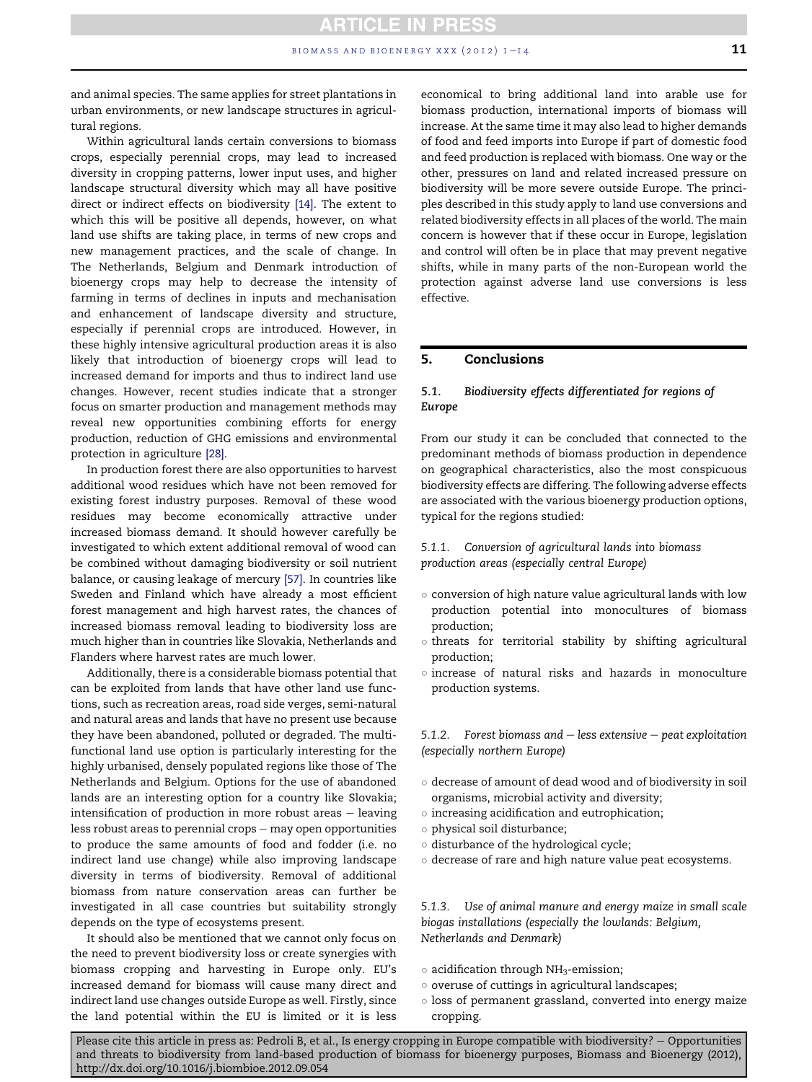and animal species. The same applies for street plantations in urban environments, or new landscape structures in agricultural regions.

Within agricultural lands certain conversions to biomass crops, especially perennial crops, may lead to increased diversity in cropping patterns, lower input uses, and higher landscape structural diversity which may all have positive direct or indirect effects on biodiversity [\[14\]](#page-12-0). The extent to which this will be positive all depends, however, on what land use shifts are taking place, in terms of new crops and new management practices, and the scale of change. In The Netherlands, Belgium and Denmark introduction of bioenergy crops may help to decrease the intensity of farming in terms of declines in inputs and mechanisation and enhancement of landscape diversity and structure, especially if perennial crops are introduced. However, in these highly intensive agricultural production areas it is also likely that introduction of bioenergy crops will lead to increased demand for imports and thus to indirect land use changes. However, recent studies indicate that a stronger focus on smarter production and management methods may reveal new opportunities combining efforts for energy production, reduction of GHG emissions and environmental protection in agriculture [\[28\].](#page-12-0)

In production forest there are also opportunities to harvest additional wood residues which have not been removed for existing forest industry purposes. Removal of these wood residues may become economically attractive under increased biomass demand. It should however carefully be investigated to which extent additional removal of wood can be combined without damaging biodiversity or soil nutrient balance, or causing leakage of mercury [\[57\]](#page-13-0). In countries like Sweden and Finland which have already a most efficient forest management and high harvest rates, the chances of increased biomass removal leading to biodiversity loss are much higher than in countries like Slovakia, Netherlands and Flanders where harvest rates are much lower.

Additionally, there is a considerable biomass potential that can be exploited from lands that have other land use functions, such as recreation areas, road side verges, semi-natural and natural areas and lands that have no present use because they have been abandoned, polluted or degraded. The multifunctional land use option is particularly interesting for the highly urbanised, densely populated regions like those of The Netherlands and Belgium. Options for the use of abandoned lands are an interesting option for a country like Slovakia; intensification of production in more robust areas  $-$  leaving  $less$  robust areas to perennial crops  $-$  may open opportunities to produce the same amounts of food and fodder (i.e. no indirect land use change) while also improving landscape diversity in terms of biodiversity. Removal of additional biomass from nature conservation areas can further be investigated in all case countries but suitability strongly depends on the type of ecosystems present.

It should also be mentioned that we cannot only focus on the need to prevent biodiversity loss or create synergies with biomass cropping and harvesting in Europe only. EU's increased demand for biomass will cause many direct and indirect land use changes outside Europe as well. Firstly, since the land potential within the EU is limited or it is less

economical to bring additional land into arable use for biomass production, international imports of biomass will increase. At the same time it may also lead to higher demands of food and feed imports into Europe if part of domestic food and feed production is replaced with biomass. One way or the other, pressures on land and related increased pressure on biodiversity will be more severe outside Europe. The principles described in this study apply to land use conversions and related biodiversity effects in all places of the world. The main concern is however that if these occur in Europe, legislation and control will often be in place that may prevent negative shifts, while in many parts of the non-European world the protection against adverse land use conversions is less effective.

### 5. Conclusions

### 5.1. Biodiversity effects differentiated for regions of Europe

From our study it can be concluded that connected to the predominant methods of biomass production in dependence on geographical characteristics, also the most conspicuous biodiversity effects are differing. The following adverse effects are associated with the various bioenergy production options, typical for the regions studied:

### 5.1.1. Conversion of agricultural lands into biomass production areas (especially central Europe)

- $\circ$  conversion of high nature value agricultural lands with low production potential into monocultures of biomass production;
- o threats for territorial stability by shifting agricultural production;
- $\circ$  increase of natural risks and hazards in monoculture production systems.

5.1.2. Forest biomass and  $-$  less extensive  $-$  peat exploitation (especially northern Europe)

- $\circ$  decrease of amount of dead wood and of biodiversity in soil organisms, microbial activity and diversity;
- $\circ$  increasing acidification and eutrophication;
- o physical soil disturbance;
- o disturbance of the hydrological cycle;
- $\circ$  decrease of rare and high nature value peat ecosystems.

5.1.3. Use of animal manure and energy maize in small scale biogas installations (especially the lowlands: Belgium, Netherlands and Denmark)

- $\circ$  acidification through NH<sub>3</sub>-emission;
- $\circ$  overuse of cuttings in agricultural landscapes;
- $\circ$  loss of permanent grassland, converted into energy maize cropping.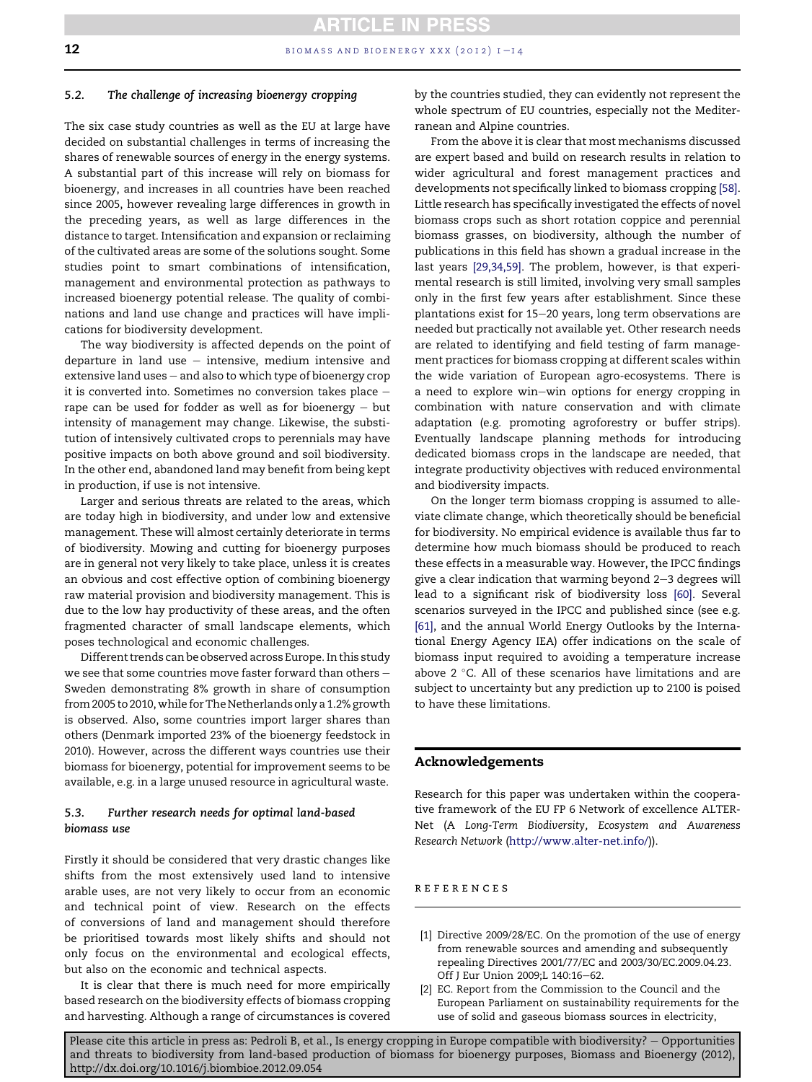### <span id="page-11-0"></span>5.2. The challenge of increasing bioenergy cropping

The six case study countries as well as the EU at large have decided on substantial challenges in terms of increasing the shares of renewable sources of energy in the energy systems. A substantial part of this increase will rely on biomass for bioenergy, and increases in all countries have been reached since 2005, however revealing large differences in growth in the preceding years, as well as large differences in the distance to target. Intensification and expansion or reclaiming of the cultivated areas are some of the solutions sought. Some studies point to smart combinations of intensification, management and environmental protection as pathways to increased bioenergy potential release. The quality of combinations and land use change and practices will have implications for biodiversity development.

The way biodiversity is affected depends on the point of departure in land use  $-$  intensive, medium intensive and extensive land uses - and also to which type of bioenergy crop it is converted into. Sometimes no conversion takes place  $$ rape can be used for fodder as well as for bioenergy  $-$  but intensity of management may change. Likewise, the substitution of intensively cultivated crops to perennials may have positive impacts on both above ground and soil biodiversity. In the other end, abandoned land may benefit from being kept in production, if use is not intensive.

Larger and serious threats are related to the areas, which are today high in biodiversity, and under low and extensive management. These will almost certainly deteriorate in terms of biodiversity. Mowing and cutting for bioenergy purposes are in general not very likely to take place, unless it is creates an obvious and cost effective option of combining bioenergy raw material provision and biodiversity management. This is due to the low hay productivity of these areas, and the often fragmented character of small landscape elements, which poses technological and economic challenges.

Different trends can be observed across Europe. In this study we see that some countries move faster forward than others  $-$ Sweden demonstrating 8% growth in share of consumption from 2005 to 2010, while for The Netherlands only a 1.2% growth is observed. Also, some countries import larger shares than others (Denmark imported 23% of the bioenergy feedstock in 2010). However, across the different ways countries use their biomass for bioenergy, potential for improvement seems to be available, e.g. in a large unused resource in agricultural waste.

### 5.3. Further research needs for optimal land-based biomass use

Firstly it should be considered that very drastic changes like shifts from the most extensively used land to intensive arable uses, are not very likely to occur from an economic and technical point of view. Research on the effects of conversions of land and management should therefore be prioritised towards most likely shifts and should not only focus on the environmental and ecological effects, but also on the economic and technical aspects.

It is clear that there is much need for more empirically based research on the biodiversity effects of biomass cropping and harvesting. Although a range of circumstances is covered by the countries studied, they can evidently not represent the whole spectrum of EU countries, especially not the Mediterranean and Alpine countries.

From the above it is clear that most mechanisms discussed are expert based and build on research results in relation to wider agricultural and forest management practices and developments not specifically linked to biomass cropping [\[58\]](#page-13-0). Little research has specifically investigated the effects of novel biomass crops such as short rotation coppice and perennial biomass grasses, on biodiversity, although the number of publications in this field has shown a gradual increase in the last years [\[29,34,59\].](#page-12-0) The problem, however, is that experimental research is still limited, involving very small samples only in the first few years after establishment. Since these plantations exist for 15-20 years, long term observations are needed but practically not available yet. Other research needs are related to identifying and field testing of farm management practices for biomass cropping at different scales within the wide variation of European agro-ecosystems. There is a need to explore win-win options for energy cropping in combination with nature conservation and with climate adaptation (e.g. promoting agroforestry or buffer strips). Eventually landscape planning methods for introducing dedicated biomass crops in the landscape are needed, that integrate productivity objectives with reduced environmental and biodiversity impacts.

On the longer term biomass cropping is assumed to alleviate climate change, which theoretically should be beneficial for biodiversity. No empirical evidence is available thus far to determine how much biomass should be produced to reach these effects in a measurable way. However, the IPCC findings give a clear indication that warming beyond 2-3 degrees will lead to a significant risk of biodiversity loss [\[60\]](#page-13-0). Several scenarios surveyed in the IPCC and published since (see e.g. [\[61\]](#page-13-0), and the annual World Energy Outlooks by the International Energy Agency IEA) offer indications on the scale of biomass input required to avoiding a temperature increase above 2  $\degree$ C. All of these scenarios have limitations and are subject to uncertainty but any prediction up to 2100 is poised to have these limitations.

### Acknowledgements

Research for this paper was undertaken within the cooperative framework of the EU FP 6 Network of excellence ALTER-Net (A Long-Term Biodiversity, Ecosystem and Awareness Research Network ([http://www.alter-net.info/\)](http://www.alter-net.info/)).

### references

- [1] Directive 2009/28/EC. On the promotion of the use of energy from renewable sources and amending and subsequently repealing Directives 2001/77/EC and 2003/30/EC.2009.04.23. Off J Eur Union 2009;L 140:16-62.
- [2] EC. Report from the Commission to the Council and the European Parliament on sustainability requirements for the use of solid and gaseous biomass sources in electricity,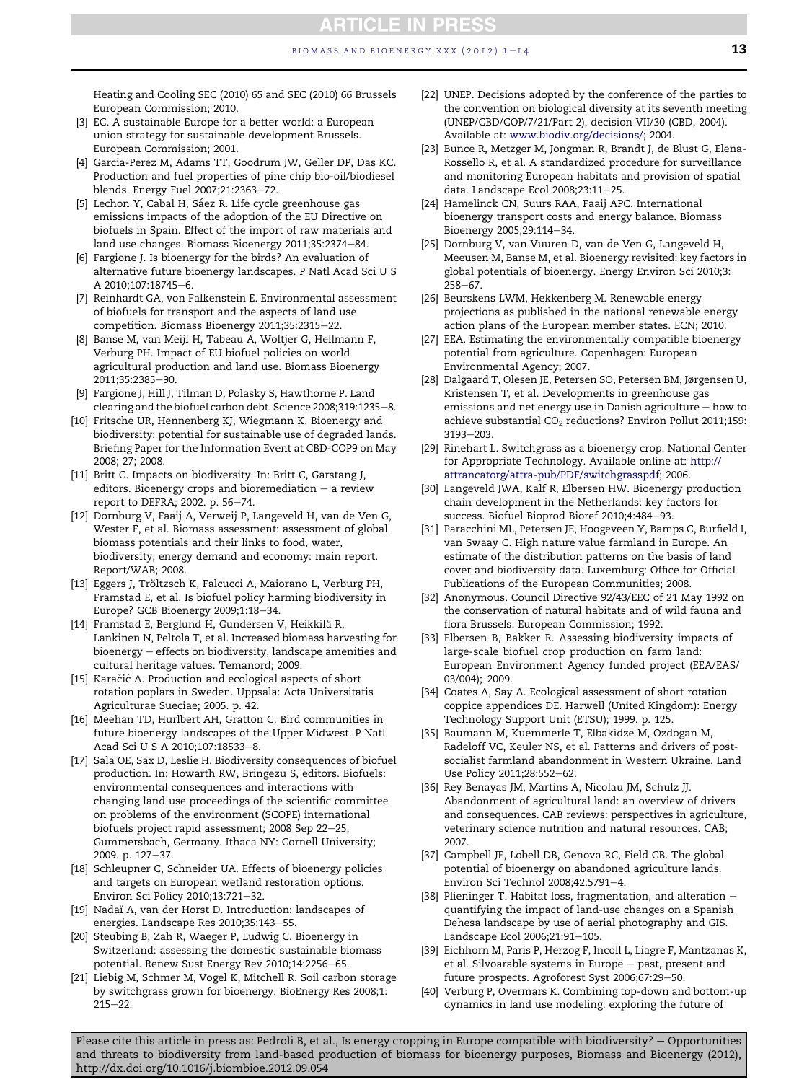<span id="page-12-0"></span>Heating and Cooling SEC (2010) 65 and SEC (2010) 66 Brussels European Commission; 2010.

- [3] EC. A sustainable Europe for a better world: a European union strategy for sustainable development Brussels. European Commission; 2001.
- [4] Garcia-Perez M, Adams TT, Goodrum JW, Geller DP, Das KC. Production and fuel properties of pine chip bio-oil/biodiesel blends. Energy Fuel 2007;21:2363-72.
- [5] Lechon Y, Cabal H, Sáez R. Life cycle greenhouse gas emissions impacts of the adoption of the EU Directive on biofuels in Spain. Effect of the import of raw materials and land use changes. Biomass Bioenergy 2011;35:2374-84.
- [6] Fargione J. Is bioenergy for the birds? An evaluation of alternative future bioenergy landscapes. P Natl Acad Sci U S A 2010;107:18745-6.
- [7] Reinhardt GA, von Falkenstein E. Environmental assessment of biofuels for transport and the aspects of land use competition. Biomass Bioenergy 2011;35:2315-22.
- [8] Banse M, van Meijl H, Tabeau A, Woltjer G, Hellmann F, Verburg PH. Impact of EU biofuel policies on world agricultural production and land use. Biomass Bioenergy  $2011:35:2385 - 90.$
- [9] Fargione J, Hill J, Tilman D, Polasky S, Hawthorne P. Land clearing and the biofuel carbon debt. Science 2008;319:1235-8.
- [10] Fritsche UR, Hennenberg KJ, Wiegmann K. Bioenergy and biodiversity: potential for sustainable use of degraded lands. Briefing Paper for the Information Event at CBD-COP9 on May 2008; 27; 2008.
- [11] Britt C. Impacts on biodiversity. In: Britt C, Garstang J, editors. Bioenergy crops and bioremediation  $-$  a review report to DEFRA; 2002. p. 56-74.
- [12] Dornburg V, Faaij A, Verweij P, Langeveld H, van de Ven G, Wester F, et al. Biomass assessment: assessment of global biomass potentials and their links to food, water, biodiversity, energy demand and economy: main report. Report/WAB; 2008.
- [13] Eggers J, Tröltzsch K, Falcucci A, Maiorano L, Verburg PH, Framstad E, et al. Is biofuel policy harming biodiversity in Europe? GCB Bioenergy 2009;1:18-34.
- [14] Framstad E, Berglund H, Gundersen V, Heikkilä R, Lankinen N, Peltola T, et al. Increased biomass harvesting for bioenergy – effects on biodiversity, landscape amenities and cultural heritage values. Temanord; 2009.
- [15] Karačić A. Production and ecological aspects of short rotation poplars in Sweden. Uppsala: Acta Universitatis Agriculturae Sueciae; 2005. p. 42.
- [16] Meehan TD, Hurlbert AH, Gratton C. Bird communities in future bioenergy landscapes of the Upper Midwest. P Natl Acad Sci U S A 2010;107:18533-8.
- [17] Sala OE, Sax D, Leslie H. Biodiversity consequences of biofuel production. In: Howarth RW, Bringezu S, editors. Biofuels: environmental consequences and interactions with changing land use proceedings of the scientific committee on problems of the environment (SCOPE) international biofuels project rapid assessment; 2008 Sep 22-25; Gummersbach, Germany. Ithaca NY: Cornell University;  $2009.$  p.  $127-37.$
- [18] Schleupner C, Schneider UA. Effects of bioenergy policies and targets on European wetland restoration options. Environ Sci Policy 2010;13:721-32.
- [19] Nadaï A, van der Horst D. Introduction: landscapes of energies. Landscape Res 2010;35:143-55.
- [20] Steubing B, Zah R, Waeger P, Ludwig C. Bioenergy in Switzerland: assessing the domestic sustainable biomass potential. Renew Sust Energy Rev 2010;14:2256-65.
- [21] Liebig M, Schmer M, Vogel K, Mitchell R. Soil carbon storage by switchgrass grown for bioenergy. BioEnergy Res 2008;1:  $215 - 22$ .
- [22] UNEP. Decisions adopted by the conference of the parties to the convention on biological diversity at its seventh meeting (UNEP/CBD/COP/7/21/Part 2), decision VII/30 (CBD, 2004). Available at: [www.biodiv.org/decisions/](http://www.biodiv.org/decisions/); 2004.
- [23] Bunce R, Metzger M, Jongman R, Brandt J, de Blust G, Elena-Rossello R, et al. A standardized procedure for surveillance and monitoring European habitats and provision of spatial data. Landscape Ecol 2008;23:11-25.
- [24] Hamelinck CN, Suurs RAA, Faaij APC. International bioenergy transport costs and energy balance. Biomass Bioenergy 2005;29:114-34.
- [25] Dornburg V, van Vuuren D, van de Ven G, Langeveld H, Meeusen M, Banse M, et al. Bioenergy revisited: key factors in global potentials of bioenergy. Energy Environ Sci 2010;3: 258-67.
- [26] Beurskens LWM, Hekkenberg M. Renewable energy projections as published in the national renewable energy action plans of the European member states. ECN; 2010.
- [27] EEA. Estimating the environmentally compatible bioenergy potential from agriculture. Copenhagen: European Environmental Agency; 2007.
- [28] Dalgaard T, Olesen JE, Petersen SO, Petersen BM, Jørgensen U, Kristensen T, et al. Developments in greenhouse gas emissions and net energy use in Danish agriculture  $-$  how to achieve substantial  $CO<sub>2</sub>$  reductions? Environ Pollut 2011;159:  $3193 - 203.$
- [29] Rinehart L. Switchgrass as a bioenergy crop. National Center for Appropriate Technology. Available online at: [http://](http://attrancatorg/attra-pub/PDF/switchgrasspdf) [attrancatorg/attra-pub/PDF/switchgrasspdf;](http://attrancatorg/attra-pub/PDF/switchgrasspdf) 2006.
- [30] Langeveld JWA, Kalf R, Elbersen HW. Bioenergy production chain development in the Netherlands: key factors for success. Biofuel Bioprod Bioref 2010;4:484-93.
- [31] Paracchini ML, Petersen JE, Hoogeveen Y, Bamps C, Burfield I, van Swaay C. High nature value farmland in Europe. An estimate of the distribution patterns on the basis of land cover and biodiversity data. Luxemburg: Office for Official Publications of the European Communities; 2008.
- [32] Anonymous. Council Directive 92/43/EEC of 21 May 1992 on the conservation of natural habitats and of wild fauna and flora Brussels. European Commission; 1992.
- [33] Elbersen B, Bakker R. Assessing biodiversity impacts of large-scale biofuel crop production on farm land: European Environment Agency funded project (EEA/EAS/ 03/004); 2009.
- [34] Coates A, Say A. Ecological assessment of short rotation coppice appendices DE. Harwell (United Kingdom): Energy Technology Support Unit (ETSU); 1999. p. 125.
- [35] Baumann M, Kuemmerle T, Elbakidze M, Ozdogan M, Radeloff VC, Keuler NS, et al. Patterns and drivers of postsocialist farmland abandonment in Western Ukraine. Land Use Policy 2011;28:552-62.
- [36] Rey Benayas JM, Martins A, Nicolau JM, Schulz JJ. Abandonment of agricultural land: an overview of drivers and consequences. CAB reviews: perspectives in agriculture, veterinary science nutrition and natural resources. CAB; 2007.
- [37] Campbell JE, Lobell DB, Genova RC, Field CB. The global potential of bioenergy on abandoned agriculture lands. Environ Sci Technol 2008;42:5791-4.
- [38] Plieninger T. Habitat loss, fragmentation, and alteration  $$ quantifying the impact of land-use changes on a Spanish Dehesa landscape by use of aerial photography and GIS. Landscape Ecol 2006;21:91-105.
- [39] Eichhorn M, Paris P, Herzog F, Incoll L, Liagre F, Mantzanas K, et al. Silvoarable systems in Europe  $-$  past, present and future prospects. Agroforest Syst 2006;67:29-50.
- [40] Verburg P, Overmars K. Combining top-down and bottom-up dynamics in land use modeling: exploring the future of